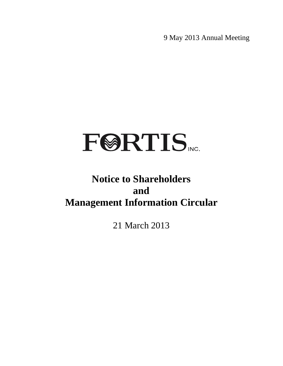9 May 2013 Annual Meeting

# **FØRTIS**

### **Notice to Shareholders and Management Information Circular**

21 March 2013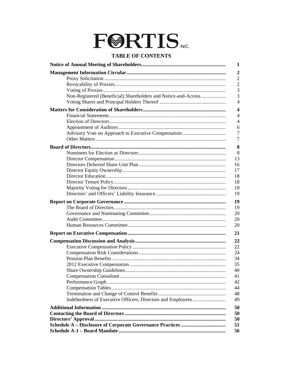## **FØRTIS**

#### **TABLE OF CONTENTS**

|                                                                | 1                       |
|----------------------------------------------------------------|-------------------------|
|                                                                | $\overline{2}$          |
|                                                                | $\overline{2}$          |
|                                                                | $\overline{2}$          |
|                                                                | 3                       |
| Non-Registered (Beneficial) Shareholders and Notice-and-Access | 3                       |
|                                                                | $\overline{4}$          |
|                                                                | $\overline{\mathbf{4}}$ |
|                                                                | $\overline{4}$          |
|                                                                | $\overline{4}$          |
|                                                                | 6                       |
|                                                                | 7                       |
|                                                                | $\overline{7}$          |
|                                                                | 8                       |
|                                                                | 8                       |
|                                                                | 13                      |
|                                                                | 16                      |
|                                                                | 17                      |
|                                                                | 18                      |
|                                                                | 18                      |
|                                                                | 18                      |
|                                                                | 19                      |
|                                                                | 19                      |
|                                                                | 19                      |
|                                                                | 20                      |
|                                                                | 20                      |
|                                                                | 20                      |
|                                                                | 21                      |
|                                                                | 22                      |
|                                                                | 22                      |
|                                                                | 24                      |
|                                                                | 34                      |
|                                                                | 35                      |
|                                                                | 40                      |
|                                                                | 41                      |
|                                                                | 42                      |
|                                                                | 44                      |
|                                                                | 48                      |
|                                                                | 49                      |
|                                                                | 50                      |
|                                                                | 50                      |
|                                                                | 50                      |
|                                                                | 51                      |
|                                                                | 56                      |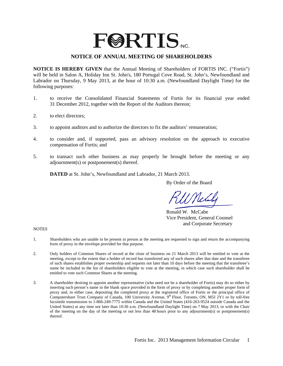## **FØRTIS**

#### **NOTICE OF ANNUAL MEETING OF SHAREHOLDERS**

**NOTICE IS HEREBY GIVEN** that the Annual Meeting of Shareholders of FORTIS INC. ("Fortis") will be held in Salon A, Holiday Inn St. John's, 180 Portugal Cove Road, St. John's, Newfoundland and Labrador on Thursday, 9 May 2013, at the hour of 10:30 a.m. (Newfoundland Daylight Time) for the following purposes:

- 1. to receive the Consolidated Financial Statements of Fortis for its financial year ended 31 December 2012, together with the Report of the Auditors thereon;
- 2. to elect directors;
- 3. to appoint auditors and to authorize the directors to fix the auditors' remuneration;
- 4. to consider and, if supported, pass an advisory resolution on the approach to executive compensation of Fortis; and
- 5. to transact such other business as may properly be brought before the meeting or any adjournment(s) or postponement(s) thereof.

**DATED** at St. John's, Newfoundland and Labrador, 21 March 2013.

By Order of the Board

Nel

 Ronald W. McCabe Vice President, General Counsel and Corporate Secretary

**NOTES** 

- 1. Shareholders who are unable to be present in person at the meeting are requested to sign and return the accompanying form of proxy in the envelope provided for that purpose.
- 2. Only holders of Common Shares of record at the close of business on 21 March 2013 will be entitled to vote at the meeting, except to the extent that a holder of record has transferred any of such shares after that date and the transferee of such shares establishes proper ownership and requests not later than 10 days before the meeting that the transferee's name be included in the list of shareholders eligible to vote at the meeting, in which case such shareholder shall be entitled to vote such Common Shares at the meeting.
- 3. A shareholder desiring to appoint another representative (who need not be a shareholder of Fortis) may do so either by inserting such person's name in the blank space provided in the form of proxy or by completing another proper form of proxy and, in either case, depositing the completed proxy at the registered office of Fortis or the principal office of Computershare Trust Company of Canada, 100 University Avenue, 9<sup>th</sup> Floor, Toronto, ON, M5J 2Y1 or by toll-free facsimile transmission to 1-866-249-7775 within Canada and the United States (416-263-9524 outside Canada and the United States) at any time not later than 10:30 a.m. (Newfoundland Daylight Time) on 7 May 2013, or with the Chair of the meeting on the day of the meeting or not less than 48 hours prior to any adjournment(s) or postponement(s) thereof.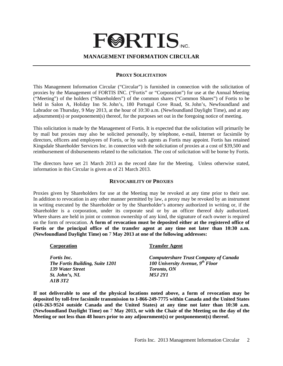## **FØRTIS MANAGEMENT INFORMATION CIRCULAR**

#### **PROXY SOLICITATION**

This Management Information Circular ("Circular") is furnished in connection with the solicitation of proxies by the Management of FORTIS INC. ("Fortis" or "Corporation") for use at the Annual Meeting ("Meeting") of the holders ("Shareholders") of the common shares ("Common Shares") of Fortis to be held in Salon A, Holiday Inn St. John's, 180 Portugal Cove Road, St. John's, Newfoundland and Labrador on Thursday, 9 May 2013, at the hour of 10:30 a.m. (Newfoundland Daylight Time), and at any adjournment(s) or postponement(s) thereof, for the purposes set out in the foregoing notice of meeting.

This solicitation is made by the Management of Fortis. It is expected that the solicitation will primarily be by mail but proxies may also be solicited personally, by telephone, e-mail, Internet or facsimile by directors, officers and employees of Fortis, or by such agents as Fortis may appoint. Fortis has retained Kingsdale Shareholder Services Inc. in connection with the solicitation of proxies at a cost of \$39,500 and reimbursement of disbursements related to the solicitation. The cost of solicitation will be borne by Fortis.

The directors have set 21 March 2013 as the record date for the Meeting. Unless otherwise stated, information in this Circular is given as of 21 March 2013.

#### **REVOCABILITY OF PROXIES**

Proxies given by Shareholders for use at the Meeting may be revoked at any time prior to their use. In addition to revocation in any other manner permitted by law, a proxy may be revoked by an instrument in writing executed by the Shareholder or by the Shareholder's attorney authorized in writing or, if the Shareholder is a corporation, under its corporate seal or by an officer thereof duly authorized. Where shares are held in joint or common ownership of any kind, the signature of each owner is required on the form of revocation. **A form of revocation must be deposited either at the registered office of Fortis or the principal office of the transfer agent at any time not later than 10:30 a.m. (Newfoundland Daylight Time) on** 7 **May 2013 at one of the following addresses:**

| Corporation                     | <b>Transfer Agent</b>                        |
|---------------------------------|----------------------------------------------|
| <i>Fortis Inc.</i>              | <b>Computershare Trust Company of Canada</b> |
| The Fortis Building, Suite 1201 | 100 University Avenue, $9^{th}$ Floor        |
| 139 Water Street                | <b>Toronto, ON</b>                           |
| St. John's, NL                  | <i>M5.I 2Y1</i>                              |
| A1B 3T2                         |                                              |

**If not deliverable to one of the physical locations noted above, a form of revocation may be deposited by toll-free facsimile transmission to 1-866-249-7775 within Canada and the United States (416-263-9524 outside Canada and the United States) at any time not later than 10:30 a.m. (Newfoundland Daylight Time) on** 7 **May 2013, or with the Chair of the Meeting on the day of the Meeting or not less than 48 hours prior to any adjournment(s) or postponement(s) thereof.**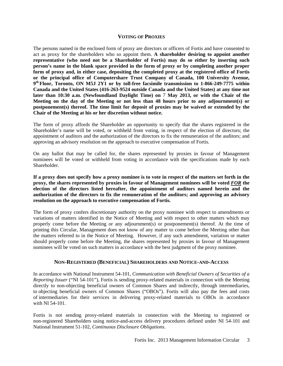#### **VOTING OF PROXIES**

The persons named in the enclosed form of proxy are directors or officers of Fortis and have consented to act as proxy for the shareholders who so appoint them. **A shareholder desiring to appoint another representative (who need not be a Shareholder of Fortis) may do so either by inserting such person's name in the blank space provided in the form of proxy or by completing another proper form of proxy and, in either case, depositing the completed proxy at the registered office of Fortis or the principal office of Computershare Trust Company of Canada, 100 University Avenue, 9th Floor, Toronto, ON M5J 2Y1 or by toll-free facsimile transmission to 1-866-249-7775 within Canada and the United States (416-263-9524 outside Canada and the United States) at any time not later than 10:30 a.m. (Newfoundland Daylight Time) on** 7 **May 2013, or with the Chair of the Meeting on the day of the Meeting or not less than 48 hours prior to any adjournment(s) or postponement(s) thereof. The time limit for deposit of proxies may be waived or extended by the Chair of the Meeting at his or her discretion without notice.**

The form of proxy affords the Shareholder an opportunity to specify that the shares registered in the Shareholder's name will be voted, or withheld from voting, in respect of the election of directors; the appointment of auditors and the authorization of the directors to fix the remuneration of the auditors; and approving an advisory resolution on the approach to executive compensation of Fortis.

On any ballot that may be called for, the shares represented by proxies in favour of Management nominees will be voted or withheld from voting in accordance with the specifications made by each Shareholder.

**If a proxy does not specify how a proxy nominee is to vote in respect of the matters set forth in the proxy, the shares represented by proxies in favour of Management nominees will be voted** *FOR* **the election of the directors listed hereafter, the appointment of auditors named herein and the authorization of the directors to fix the remuneration of the auditors; and approving an advisory resolution on the approach to executive compensation of Fortis.** 

The form of proxy confers discretionary authority on the proxy nominee with respect to amendments or variations of matters identified in the Notice of Meeting and with respect to other matters which may properly come before the Meeting or any adjournment(s) or postponement(s) thereof. At the time of printing this Circular, Management does not know of any matter to come before the Meeting other than the matters referred to in the Notice of Meeting. However, if any such amendment, variation or matter should properly come before the Meeting, the shares represented by proxies in favour of Management nominees will be voted on such matters in accordance with the best judgment of the proxy nominee.

#### **NON-REGISTERED (BENEFICIAL) SHAREHOLDERS AND NOTICE-AND-ACCESS**

In accordance with National Instrument 54-101, *Communication with Beneficial Owners of Securities of a Reporting Issuer* ("NI 54-101"), Fortis is sending proxy-related materials in connection with the Meeting directly to non-objecting beneficial owners of Common Shares and indirectly, through intermediaries, to objecting beneficial owners of Common Shares ("OBOs"). Fortis will also pay the fees and costs of intermediaries for their services in delivering proxy-related materials to OBOs in accordance with NI 54-101.

Fortis is not sending proxy-related materials in connection with the Meeting to registered or non-registered Shareholders using notice-and-access delivery procedures defined under NI 54-101 and National Instrument 51-102, *Continuous Disclosure Obligations*.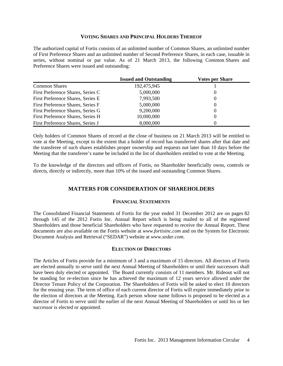#### **VOTING SHARES AND PRINCIPAL HOLDERS THEREOF**

The authorized capital of Fortis consists of an unlimited number of Common Shares, an unlimited number of First Preference Shares and an unlimited number of Second Preference Shares, in each case, issuable in series, without nominal or par value. As of 21 March 2013, the following Common Shares and Preference Shares were issued and outstanding:

|                                   | <b>Issued and Outstanding</b> | <b>Votes per Share</b> |
|-----------------------------------|-------------------------------|------------------------|
| <b>Common Shares</b>              | 192,475,945                   |                        |
| First Preference Shares, Series C | 5,000,000                     | $\Omega$               |
| First Preference Shares, Series E | 7,993,500                     | $\theta$               |
| First Preference Shares, Series F | 5,000,000                     | $\Omega$               |
| First Preference Shares, Series G | 9,200,000                     | $\Omega$               |
| First Preference Shares, Series H | 10,000,000                    | $\theta$               |
| First Preference Shares, Series J | 8,000,000                     | $\Omega$               |

Only holders of Common Shares of record at the close of business on 21 March 2013 will be entitled to vote at the Meeting, except to the extent that a holder of record has transferred shares after that date and the transferee of such shares establishes proper ownership and requests not later than 10 days before the Meeting that the transferee's name be included in the list of shareholders entitled to vote at the Meeting.

To the knowledge of the directors and officers of Fortis, no Shareholder beneficially owns, controls or directs, directly or indirectly, more than 10% of the issued and outstanding Common Shares.

#### **MATTERS FOR CONSIDERATION OF SHAREHOLDERS**

#### **FINANCIAL STATEMENTS**

The Consolidated Financial Statements of Fortis for the year ended 31 December 2012 are on pages 82 through 145 of the 2012 Fortis Inc. Annual Report which is being mailed to all of the registered Shareholders and those beneficial Shareholders who have requested to receive the Annual Report. These documents are also available on the Fortis website at *www.fortisinc.com* and on the System for Electronic Document Analysis and Retrieval ("SEDAR") website at *www.sedar.com*.

#### **ELECTION OF DIRECTORS**

The Articles of Fortis provide for a minimum of 3 and a maximum of 15 directors. All directors of Fortis are elected annually to serve until the next Annual Meeting of Shareholders or until their successors shall have been duly elected or appointed. The Board currently consists of 11 members. Mr. Rideout will not be standing for re-election since he has achieved the maximum of 12 years service allowed under the Director Tenure Policy of the Corporation. The Shareholders of Fortis will be asked to elect 10 directors for the ensuing year. The term of office of each current director of Fortis will expire immediately prior to the election of directors at the Meeting. Each person whose name follows is proposed to be elected as a director of Fortis to serve until the earlier of the next Annual Meeting of Shareholders or until his or her successor is elected or appointed.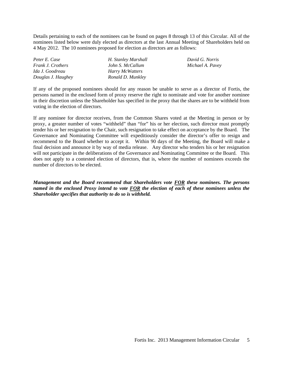Details pertaining to each of the nominees can be found on pages 8 through 13 of this Circular. All of the nominees listed below were duly elected as directors at the last Annual Meeting of Shareholders held on 4 May 2012. The 10 nominees proposed for election as directors are as follows:

| Peter E. Case            | H. Stanley Marshall |
|--------------------------|---------------------|
| <i>Frank J. Crothers</i> | John S. McCallum    |
| Ida J. Goodreau          | Harry McWatters     |
| Douglas J. Haughey       | Ronald D. Munkley   |

*Peter E. Case H. Stanley Marshall David G. Norris*  $Michael A. Pavev$ 

If any of the proposed nominees should for any reason be unable to serve as a director of Fortis, the persons named in the enclosed form of proxy reserve the right to nominate and vote for another nominee in their discretion unless the Shareholder has specified in the proxy that the shares are to be withheld from voting in the election of directors.

If any nominee for director receives, from the Common Shares voted at the Meeting in person or by proxy, a greater number of votes "withheld" than "for" his or her election, such director must promptly tender his or her resignation to the Chair, such resignation to take effect on acceptance by the Board. The Governance and Nominating Committee will expeditiously consider the director's offer to resign and recommend to the Board whether to accept it. Within 90 days of the Meeting, the Board will make a final decision and announce it by way of media release. Any director who tenders his or her resignation will not participate in the deliberations of the Governance and Nominating Committee or the Board. This does not apply to a contested election of directors, that is, where the number of nominees exceeds the number of directors to be elected.

*Management and the Board recommend that Shareholders vote FOR these nominees. The persons named in the enclosed Proxy intend to vote FOR the election of each of these nominees unless the Shareholder specifies that authority to do so is withheld.*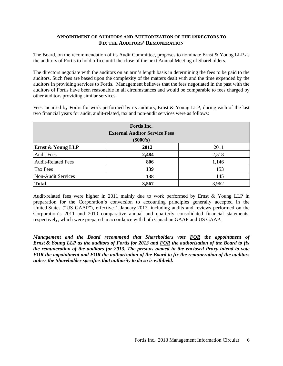#### **APPOINTMENT OF AUDITORS AND AUTHORIZATION OF THE DIRECTORS TO FIX THE AUDITORS' REMUNERATION**

The Board, on the recommendation of its Audit Committee, proposes to nominate Ernst & Young LLP as the auditors of Fortis to hold office until the close of the next Annual Meeting of Shareholders.

The directors negotiate with the auditors on an arm's length basis in determining the fees to be paid to the auditors. Such fees are based upon the complexity of the matters dealt with and the time expended by the auditors in providing services to Fortis. Management believes that the fees negotiated in the past with the auditors of Fortis have been reasonable in all circumstances and would be comparable to fees charged by other auditors providing similar services.

Fees incurred by Fortis for work performed by its auditors, Ernst & Young LLP, during each of the last two financial years for audit, audit-related, tax and non-audit services were as follows:

| Fortis Inc.<br><b>External Auditor Service Fees</b><br>$(\$000's)$ |       |       |  |  |
|--------------------------------------------------------------------|-------|-------|--|--|
| Ernst & Young LLP                                                  | 2012  | 2011  |  |  |
| <b>Audit Fees</b>                                                  | 2,484 | 2,518 |  |  |
| <b>Audit-Related Fees</b>                                          | 806   | 1,146 |  |  |
| Tax Fees                                                           | 139   | 153   |  |  |
| Non-Audit Services                                                 | 138   | 145   |  |  |
| <b>Total</b>                                                       | 3,567 | 3,962 |  |  |

Audit-related fees were higher in 2011 mainly due to work performed by Ernst & Young LLP in preparation for the Corporation's conversion to accounting principles generally accepted in the United States ("US GAAP"), effective 1 January 2012, including audits and reviews performed on the Corporation's 2011 and 2010 comparative annual and quarterly consolidated financial statements, respectively, which were prepared in accordance with both Canadian GAAP and US GAAP.

*Management and the Board recommend that Shareholders vote FOR the appointment of Ernst & Young LLP as the auditors of Fortis for 2013 and FOR the authorization of the Board to fix the remuneration of the auditors for 2013. The persons named in the enclosed Proxy intend to vote FOR the appointment and FOR the authorization of the Board to fix the remuneration of the auditors unless the Shareholder specifies that authority to do so is withheld.*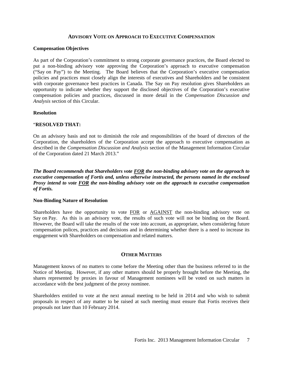#### **ADVISORY VOTE ON APPROACH TO EXECUTIVE COMPENSATION**

#### **Compensation Objectives**

As part of the Corporation's commitment to strong corporate governance practices, the Board elected to put a non-binding advisory vote approving the Corporation's approach to executive compensation ("Say on Pay") to the Meeting. The Board believes that the Corporation's executive compensation policies and practices must closely align the interests of executives and Shareholders and be consistent with corporate governance best practices in Canada. The Say on Pay resolution gives Shareholders an opportunity to indicate whether they support the disclosed objectives of the Corporation's executive compensation policies and practices, discussed in more detail in the *Compensation Discussion and Analysis* section of this Circular.

#### **Resolution**

#### "**RESOLVED THAT:**

On an advisory basis and not to diminish the role and responsibilities of the board of directors of the Corporation, the shareholders of the Corporation accept the approach to executive compensation as described in the *Compensation Discussion and Analysis* section of the Management Information Circular of the Corporation dated 21 March 2013."

#### *The Board recommends that Shareholders vote FOR the non-binding advisory vote on the approach to executive compensation of Fortis and, unless otherwise instructed, the persons named in the enclosed Proxy intend to vote FOR the non-binding advisory vote on the approach to executive compensation of Fortis.*

#### **Non-Binding Nature of Resolution**

Shareholders have the opportunity to vote FOR or AGAINST the non-binding advisory vote on Say on Pay. As this is an advisory vote, the results of such vote will not be binding on the Board. However, the Board will take the results of the vote into account, as appropriate, when considering future compensation polices, practices and decisions and in determining whether there is a need to increase its engagement with Shareholders on compensation and related matters.

#### **OTHER MATTERS**

Management knows of no matters to come before the Meeting other than the business referred to in the Notice of Meeting. However, if any other matters should be properly brought before the Meeting, the shares represented by proxies in favour of Management nominees will be voted on such matters in accordance with the best judgment of the proxy nominee.

Shareholders entitled to vote at the next annual meeting to be held in 2014 and who wish to submit proposals in respect of any matter to be raised at such meeting must ensure that Fortis receives their proposals not later than 10 February 2014.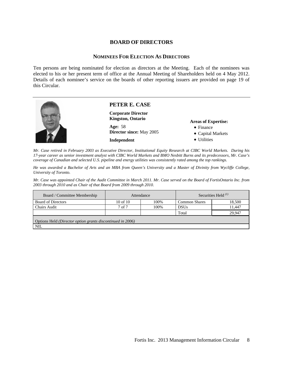#### **BOARD OF DIRECTORS**

#### **NOMINEES FOR ELECTION AS DIRECTORS**

Ten persons are being nominated for election as directors at the Meeting. Each of the nominees was elected to his or her present term of office at the Annual Meeting of Shareholders held on 4 May 2012. Details of each nominee's service on the boards of other reporting issuers are provided on page 19 of this Circular.



*Mr. Case retired in February 2003 as Executive Director, Institutional Equity Research at CIBC World Markets. During his 17-year career as senior investment analyst with CIBC World Markets and BMO Nesbitt Burns and its predecessors, Mr. Case's coverage of Canadian and selected U.S. pipeline and energy utilities was consistently rated among the top rankings.* 

*He was awarded a Bachelor of Arts and an MBA from Queen's University and a Master of Divinity from Wycliffe College, University of Toronto.* 

*Mr. Case was appointed Chair of the Audit Committee in March 2011. Mr. Case served on the Board of FortisOntario Inc. from 2003 through 2010 and as Chair of that Board from 2009 through 2010.*

| Board / Committee Membership                               | Attendance   |      | Securities Held $^{(1)}$ |        |  |
|------------------------------------------------------------|--------------|------|--------------------------|--------|--|
| <b>Board of Directors</b>                                  | $10$ of $10$ | 100% | <b>Common Shares</b>     | 18,500 |  |
| <b>Chairs Audit</b>                                        | 7 of 7       | 100% | <b>DSUs</b>              | 11.447 |  |
|                                                            |              |      | Total                    | 29.947 |  |
| Options Held (Director option grants discontinued in 2006) |              |      |                          |        |  |
| <b>NIL</b>                                                 |              |      |                          |        |  |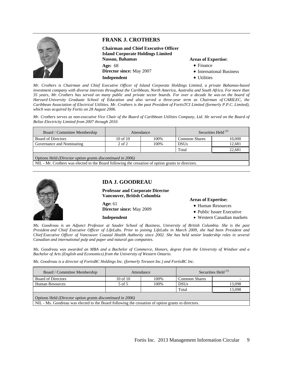

*Mr. Crothers is Chairman and Chief Executive Officer of Island Corporate Holdings Limited, a private Bahamas-based investment company with diverse interests throughout the Caribbean, North America, Australia and South Africa. For more than 35 years, Mr. Crothers has served on many public and private sector boards. For over a decade he was on the board of Harvard University Graduate School of Education and also served a three-year term as Chairman of CARILEC, the Caribbean Association of Electrical Utilities. Mr. Crothers is the past President of FortisTCI Limited (formerly P.P.C. Limited), which was acquired by Fortis on 28 August 2006.* 

*Mr. Crothers serves as non-executive Vice Chair of the Board of Caribbean Utilities Company, Ltd. He served on the Board of Belize Electricity Limited from 2007 through 2010.*

| Board / Committee Membership                                                                       | Attendance   |      | Securities Held $^{(1)}$ |        |  |
|----------------------------------------------------------------------------------------------------|--------------|------|--------------------------|--------|--|
| <b>Board of Directors</b>                                                                          | $10$ of $10$ | 100% | <b>Common Shares</b>     | 10.000 |  |
| Governance and Nominating                                                                          | $2$ of $2$   | 100% | <b>DSUs</b>              | 12.681 |  |
|                                                                                                    |              |      | Total                    | 22.681 |  |
| Options Held <i>(Director option grants discontinued in 2006)</i>                                  |              |      |                          |        |  |
| NIL - Mr. Crothers was elected to the Board following the cessation of option grants to directors. |              |      |                          |        |  |



#### **IDA J. GOODREAU**

**Professor and Corporate Director Vancouver, British Columbia** 

**Age:** 61 **Director since:** May 2009

**Independent** 

#### **Areas of Expertise:**

- Human Resources
- Public Issuer Executive
- Western Canadian markets

*Ms. Goodreau is an Adjunct Professor at Sauder School of Business, University of British Columbia. She is the past President and Chief Executive Officer of LifeLabs. Prior to joining LifeLabs in March 2009, she had been President and Chief Executive Officer of Vancouver Coastal Health Authority since 2002. She has held senior leadership roles in several Canadian and international pulp and paper and natural gas companies.* 

*Ms. Goodreau was awarded an MBA and a Bachelor of Commerce, Honors, degree from the University of Windsor and a Bachelor of Arts (English and Economics) from the University of Western Ontario.* 

*Ms. Goodreau is a director of FortisBC Holdings Inc. (formerly Terasen Inc.) and FortisBC Inc.* 

| Board / Committee Membership                                                                       | Attendance   |       | Securities Held $^{(1)}$ |        |  |
|----------------------------------------------------------------------------------------------------|--------------|-------|--------------------------|--------|--|
| <b>Board of Directors</b>                                                                          | $10$ of $10$ | 100%  | <b>Common Shares</b>     |        |  |
| <b>Human Resources</b>                                                                             | $5$ of $5$   | 100\% | <b>DSUs</b>              | 13,098 |  |
|                                                                                                    |              |       | Total                    | 13,098 |  |
| Options Held (Director option grants discontinued in 2006)                                         |              |       |                          |        |  |
| NIL - Ms. Goodreau was elected to the Board following the cessation of option grants to directors. |              |       |                          |        |  |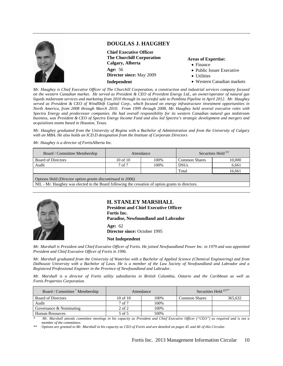

#### **DOUGLAS J. HAUGHEY**

**Chief Executive Officer The Churchill Corporation Calgary, Alberta Age:** 56 **Director since:** May 2009 **Independent** 

#### **Areas of Expertise:**

- Finance
- Public Issuer Executive
- Utilities
- Western Canadian markets

*Mr. Haughey is Chief Executive Officer of The Churchill Corporation, a construction and industrial services company focused on the western Canadian market. He served as President & CEO of Provident Energy Ltd., an owner/operator of natural gas liquids midstream services and marketing from 2010 through its successful sale to Pembina Pipeline in April 2012. Mr. Haughey served as President & CEO of WindShift Capital Corp., which focused on energy infrastructure investment opportunities in North America, from 2008 through March 2010. From 1999 through 2008, Mr. Haughey held several executive roles with Spectra Energy and predecessor companies. He had overall responsibility for its western Canadian natural gas midstream business, was President & CEO of Spectra Energy Income Fund and also led Spectra's strategic development and mergers and acquisitions teams based in Houston, Texas.* 

*Mr. Haughey graduated from the University of Regina with a Bachelor of Administration and from the University of Calgary with an MBA. He also holds an ICD.D designation from the Institute of Corporate Directors*

*Mr. Haughey is a director of FortisAlberta Inc.* 

| Board / Committee Membership                               | Attendance   |      | Securities Held $^{(1)}$ |        |  |
|------------------------------------------------------------|--------------|------|--------------------------|--------|--|
| <b>Board of Directors</b>                                  | $10$ of $10$ | 100% | <b>Common Shares</b>     | 10,000 |  |
| Audit                                                      | 7 of 7       | 100% | <b>DSUs</b>              | 6.661  |  |
|                                                            |              |      | Total                    | 16,661 |  |
| Options Held (Director option grants discontinued in 2006) |              |      |                          |        |  |

NIL - Mr. Haughey was elected to the Board following the cessation of option grants to directors.



#### **H. STANLEY MARSHALL**

**President and Chief Executive Officer Fortis Inc. Paradise, Newfoundland and Labrador Age:** 62 **Director since:** October 1995

**Not Independent** 

*Mr. Marshall is President and Chief Executive Officer of Fortis. He joined Newfoundland Power Inc. in 1979 and was appointed President and Chief Executive Officer of Fortis in 1996.* 

*Mr. Marshall graduated from the University of Waterloo with a Bachelor of Applied Science (Chemical Engineering) and from Dalhousie University with a Bachelor of Laws. He is a member of the Law Society of Newfoundland and Labrador and a Registered Professional Engineer in the Province of Newfoundland and Labrador.* 

*Mr. Marshall is a director of Fortis utility subsidiaries in British Columbia, Ontario and the Caribbean as well as Fortis Properties Corporation.*

| Board / Committee Membership | Attendance   |      |                      | Securities Held $(1)$ ** |
|------------------------------|--------------|------|----------------------|--------------------------|
| <b>Board of Directors</b>    | $10$ of $10$ | 100% | <b>Common Shares</b> | 365.632                  |
| Audit                        | 7 of 7       | 100% |                      |                          |
| Governance & Nominating      | $2$ of $2$   | 100% |                      |                          |
| <b>Human Resources</b>       | 5 of 5       | 100% |                      |                          |

*\* Mr. Marshall attends committee meetings in his capacity as President and Chief Executive Officer ("CEO") as required and is not a member of the committees.* 

*\*\* Options are granted to Mr. Marshall in his capacity as CEO of Fortis and are detailed on pages 45 and 46 of this Circular.*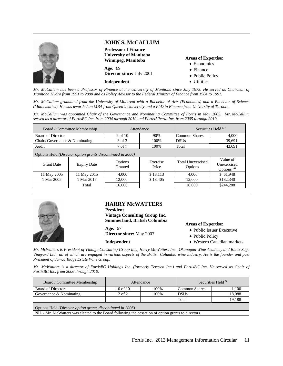

#### **JOHN S. McCALLUM**

**Professor of Finance University of Manitoba Winnipeg, Manitoba Age:** 69 **Director since:** July 2001

**Independent** 

#### **Areas of Expertise:**

- Economics
- Finance
- Public Policy
- Utilities

*Mr. McCallum has been a Professor of Finance at the University of Manitoba since July 1973. He served as Chairman of Manitoba Hydro from 1991 to 2000 and as Policy Advisor to the Federal Minister of Finance from 1984 to 1991.* 

*Mr. McCallum graduated from the University of Montreal with a Bachelor of Arts (Economics) and a Bachelor of Science (Mathematics). He was awarded an MBA from Queen's University and a PhD in Finance from University of Toronto.* 

*Mr. McCallum was appointed Chair of the Governance and Nominating Committee of Fortis in May 2005. Mr. McCallum served as a director of FortisBC Inc. from 2004 through 2010 and FortisAlberta Inc. from 2005 through 2010.*

|                                                            | Board / Committee Membership | Attendance         |                   | Securities Held $^{(1)}$     |                                          |
|------------------------------------------------------------|------------------------------|--------------------|-------------------|------------------------------|------------------------------------------|
| <b>Board of Directors</b>                                  |                              | 9 of 10            | 90%               | <b>Common Shares</b>         | 4.000                                    |
| Chairs Governance & Nominating                             |                              | 3 of 3             | 100\%             | <b>DSUs</b>                  | 39,691                                   |
| Audit                                                      |                              | 7 of 7             | 100%              | Total                        | 43,691                                   |
| Options Held (Director option grants discontinued in 2006) |                              |                    |                   |                              |                                          |
| <b>Grant Date</b>                                          | <b>Expiry Date</b>           | Options<br>Granted | Exercise<br>Price | Total Unexercised<br>Options | Value of<br>Unexercised<br>Options $(2)$ |
| 11 May 2005                                                | 11 May 2015                  | 4.000              | \$18.113          | 4.000                        | \$61,948                                 |
| 1 Mar 2005                                                 | 1 Mar 2015                   | 12,000             | \$18.405          | 12,000                       | \$182,340                                |
|                                                            | Total                        | 16,000             |                   | 16,000                       | \$244,288                                |



#### **HARRY McWATTERS**

**President Vintage Consulting Group Inc. Summerland, British Columbia** 

**Age:** 67 **Director since:** May 2007

#### **Independent**

#### **Areas of Expertise:**

- Public Issuer Executive
- Public Policy
- Western Canadian markets

*Mr. McWatters is President of Vintage Consulting Group Inc., Harry McWatters Inc., Okanagan Wine Academy and Black Sage Vineyard Ltd., all of which are engaged in various aspects of the British Columbia wine industry. He is the founder and past President of Sumac Ridge Estate Wine Group.* 

*Mr. McWatters is a director of FortisBC Holdings Inc. (formerly Terasen Inc.) and FortisBC Inc. He served as Chair of FortisBC Inc. from 2006 through 2010.* 

| Board / Committee Membership                                                                        | Attendance   |      | Securities Held $^{(1)}$ |        |
|-----------------------------------------------------------------------------------------------------|--------------|------|--------------------------|--------|
| <b>Board of Directors</b>                                                                           | $10$ of $10$ | 100% | <b>Common Shares</b>     | 1,100  |
| Governance & Nominating                                                                             | $2$ of $2$   | 100% | <b>DSUs</b>              | 18,088 |
|                                                                                                     |              |      | Total                    | 19,188 |
| Options Held (Director option grants discontinued in 2006)                                          |              |      |                          |        |
| NIL - Mr. McWatters was elected to the Board following the cessation of option grants to directors. |              |      |                          |        |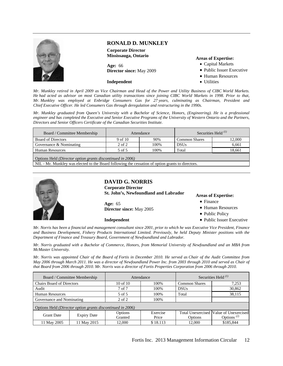

#### **RONALD D. MUNKLEY**

**Corporate Director Mississauga, Ontario** 

**Age:** 66 **Director since:** May 2009

#### **Independent**

#### **Areas of Expertise:**

- Capital Markets
- Public Issuer Executive
- Human Resources
- Utilities

*Mr. Munkley retired in April 2009 as Vice Chairman and Head of the Power and Utility Business of CIBC World Markets. He had acted as advisor on most Canadian utility transactions since joining CIBC World Markets in 1998. Prior to that, Mr. Munkley was employed at Enbridge Consumers Gas for 27 years, culminating as Chairman, President and Chief Executive Officer. He led Consumers Gas through deregulation and restructuring in the 1990s.* 

*Mr. Munkley graduated from Queen's University with a Bachelor of Science, Honors, (Engineering). He is a professional engineer and has completed the Executive and Senior Executive Programs of the University of Western Ontario and the Partners, Directors and Senior Officers Certificate of the Canadian Securities Institute.*

| Board / Committee Membership                               | Attendance |      | Securities Held $^{(1)}$ |        |  |  |
|------------------------------------------------------------|------------|------|--------------------------|--------|--|--|
| <b>Board of Directors</b>                                  | 9 of 10    | 90%  | <b>Common Shares</b>     | 12,000 |  |  |
| Governance & Nominating                                    | $2$ of $2$ | 100% | <b>DSUs</b>              | 6.661  |  |  |
| <b>Human Resources</b>                                     | 5 of 5     | 100% | Total                    | 18,661 |  |  |
| Options Held (Director option grants discontinued in 2006) |            |      |                          |        |  |  |

NIL - Mr. Munkley was elected to the Board following the cessation of option grants to directors.



#### **DAVID G. NORRIS**

**Corporate Director St. John's, Newfoundland and Labrador** 

**Age:** 65 **Director since:** May 2005

**Independent** 

#### **Areas of Expertise:**

- Finance
- Human Resources
- Public Policy
- Public Issuer Executive

*Mr. Norris has been a financial and management consultant since 2001, prior to which he was Executive Vice President, Finance and Business Development, Fishery Products International Limited. Previously, he held Deputy Minister positions with the Department of Finance and Treasury Board, Government of Newfoundland and Labrador.* 

*Mr. Norris graduated with a Bachelor of Commerce, Honors, from Memorial University of Newfoundland and an MBA from McMaster University.* 

*Mr. Norris was appointed Chair of the Board of Fortis in December 2010. He served as Chair of the Audit Committee from May 2006 through March 2011. He was a director of Newfoundland Power Inc. from 2003 through 2010 and served as Chair of that Board from 2006 through 2010. Mr. Norris was a director of Fortis Properties Corporation from 2006 through 2010.*

|                                                            | Board / Committee Membership |              | Attendance |                      | Securities Held $^{(1)}$               |
|------------------------------------------------------------|------------------------------|--------------|------------|----------------------|----------------------------------------|
| <b>Chairs Board of Directors</b>                           |                              | $10$ of $10$ | 100%       | <b>Common Shares</b> | 7,253                                  |
| Audit                                                      |                              | 7 of 7       | 100%       | <b>DSUs</b>          | 30,862                                 |
| <b>Human Resources</b>                                     |                              | 5 of 5       | 100%       | Total                | 38,115                                 |
| Governance and Nominating                                  |                              | 2 of 2       | 100%       |                      |                                        |
| Options Held (Director option grants discontinued in 2006) |                              |              |            |                      |                                        |
| <b>Grant Date</b>                                          | <b>Expiry Date</b>           | Options      | Exercise   |                      | Total Unexercised Value of Unexercised |
|                                                            |                              | Granted      | Price      | Options              | Options <sup><math>(2)</math></sup>    |
| 11 May 2005                                                | 11 May 2015                  | 12,000       | \$18.113   | 12,000               | \$185,844                              |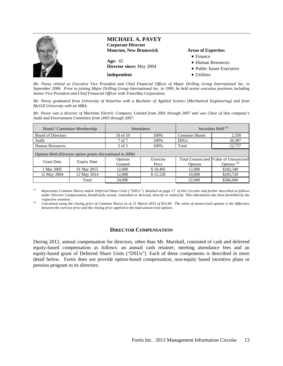

*Mr. Pavey retired as Executive Vice President and Chief Financial Officer of Major Drilling Group International Inc. in September 2006. Prior to joining Major Drilling Group International Inc. in 1999, he held senior executive positions including Senior Vice President and Chief Financial Officer with TransAlta Corporation.* 

*Mr. Pavey graduated from University of Waterloo with a Bachelor of Applied Science (Mechanical Engineering) and from McGill University with an MBA.* 

*Mr. Pavey was a director of Maritime Electric Company, Limited from 2001 through 2007 and was Chair of that company's Audit and Environment Committee from 2003 through 2007.*

÷.

|                                                            | Board / Committee Membership | Attendance   |          |                      | Securities Held $^{(1)}$               |
|------------------------------------------------------------|------------------------------|--------------|----------|----------------------|----------------------------------------|
| <b>Board of Directors</b>                                  |                              | $10$ of $10$ | 100%     | <b>Common Shares</b> | 2,350                                  |
| Audit                                                      |                              | 7 of 7       | 100%     | <b>DSUs</b>          | 20,387                                 |
| <b>Human Resources</b>                                     |                              | 5 of 5       | 100%     | Total                | 22,737                                 |
| Options Held (Director option grants discontinued in 2006) |                              |              |          |                      |                                        |
| <b>Grant Date</b>                                          | <b>Expiry Date</b>           | Options      | Exercise |                      | Total Unexercised Value of Unexercised |
|                                                            |                              | Granted      | Price    | Options              | Options <sup><math>(2)</math></sup>    |
| 1 Mar 2005                                                 | 01 Mar 2015                  | 12,000       | \$18.405 | 12,000               | \$182,340                              |
| 12 May 2004                                                | 12 May 2014                  | 12,000       | \$15.228 | 10,000               | \$183,720                              |
|                                                            | Total                        | 24,000       |          | 22,000               | \$366,060                              |

*(1) Represents Common Shares and/or Deferred Share Units ("DSUs"), detailed on page 17 of this Circular and further described as follows under Director Compensation, beneficially owned, controlled or directed, directly or indirectly. This information has been furnished by the* 

*respective nominee. (2) Calculated using the closing price of Common Shares as at 21 March 2013 of \$33.60. The value of unexercised options is the difference between the exercise price and the closing price applied to the total unexercised options.* 

#### **DIRECTOR COMPENSATION**

During 2012, annual compensation for directors, other than Mr. Marshall, consisted of cash and deferred equity-based compensation as follows: an annual cash retainer, meeting attendance fees and an equity-based grant of Deferred Share Units ("DSUs"). Each of these components is described in more detail below. Fortis does not provide option-based compensation, non-equity based incentive plans or pension program to its directors.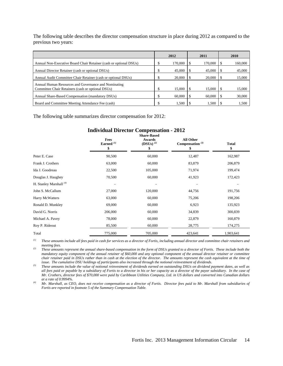The following table describes the director compensation structure in place during 2012 as compared to the previous two years:

|                                                                   | 2012    | 2011    | 2010    |
|-------------------------------------------------------------------|---------|---------|---------|
| Annual Non-Executive Board Chair Retainer (cash or optional DSUs) | 170,000 | 170,000 | 160,000 |
| Annual Director Retainer (cash or optional DSUs)                  | 45,000  | 45,000  | 45,000  |
| Annual Audit Committee Chair Retainer (cash or optional DSUs)     | 20,000  | 20,000  | 15,000  |
| Annual Human Resources and Governance and Nominating              |         |         |         |
| Committee Chair Retainers (cash or optional DSUs)                 | 15,000  | 15,000  | 15,000  |
| Annual Share-Based Compensation (mandatory DSUs)                  | 60,000  | 60,000  | 30,000  |
| Board and Committee Meeting Attendance Fee (cash)                 | 1.500   | 1.500   | 1,500   |

The following table summarizes director compensation for 2012:

#### **Individual Director Compensation - 2012 Share-Based**

|                           | Fees<br>Earned $(1)$<br>\$ | <b>DHAL C-DASCU</b><br>Awards<br>$(DSUs)$ <sup>(2)</sup><br>\$ | All Other<br>Compensation $^{(3)}$<br>\$ | Total<br>\$ |
|---------------------------|----------------------------|----------------------------------------------------------------|------------------------------------------|-------------|
| Peter E. Case             | 90,500                     | 60,000                                                         | 12,487                                   | 162,987     |
| Frank J. Crothers         | 63,000                     | 60,000                                                         | 83,879                                   | 206,879     |
| Ida J. Goodreau           | 22,500                     | 105,000                                                        | 71,974                                   | 199,474     |
| Douglas J. Haughey        | 70,500                     | 60,000                                                         | 41,923                                   | 172,423     |
| H. Stanley Marshall $(4)$ | ٠                          |                                                                |                                          |             |
| John S. McCallum          | 27,000                     | 120,000                                                        | 44,756                                   | 191,756     |
| Harry McWatters           | 63,000                     | 60,000                                                         | 75,206                                   | 198,206     |
| Ronald D. Munkley         | 69,000                     | 60,000                                                         | 6,923                                    | 135,923     |
| David G. Norris           | 206,000                    | 60,000                                                         | 34,839                                   | 300,839     |
| Michael A. Pavey          | 78,000                     | 60,000                                                         | 22,879                                   | 160,879     |
| Roy P. Rideout            | 85,500                     | 60,000                                                         | 28,775                                   | 174,275     |
| Total                     | 775,000                    | 705,000                                                        | 423,641                                  | 1,903,641   |

*(1) These amounts include all fees paid in cash for services as a director of Fortis, including annual director and committee chair retainers and* 

*meeting fees. (2) These amounts represent the annual share-based compensation in the form of DSUs granted to a director of Fortis. These include both the mandatory equity component of the annual retainer of \$60,000 and any optional component of the annual director retainer or committee chair retainer paid in DSUs rather than in cash at the election of the director. The amounts represent the cash equivalent at the time of* 

 $^{(3)}$  These amounts include the value of notional reinvestment of dividends earned on outstanding DSUs on dividend payment dates, as well as *all fees paid or payable by a subsidiary of Fortis to a director in his or her capacity as a director of the payor subsidiary. In the case of Mr. Crothers, director fees of \$70,000 were paid by Caribbean Utilities Company, Ltd. in US dollars and converted into Canadian dollars* 

*at a rate of 0.9994%. (4) Mr. Marshall, as CEO, does not receive compensation as a director of Fortis. Director fees paid to Mr. Marshall from subsidiaries of Fortis are reported in footnote 5 of the Summary Compensation Table.*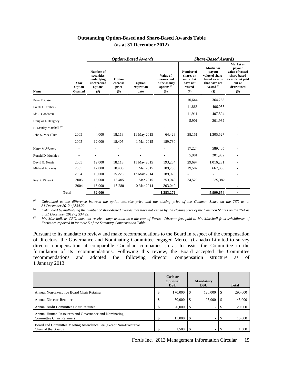#### **Outstanding Option-Based and Share-Based Awards Table (as at 31 December 2012)**

| <b>Name</b>                        | Year<br>Option<br><b>Granted</b> | Number of<br>securities<br>underlying<br>unexercised<br>options<br>(# ) | Option<br>exercise<br>price<br>$($)$ | Option<br>expiration<br>date | Value of<br>unexercised<br>in-the-money<br>options $(1)$<br>\$) | Number of<br>shares or<br>units that<br>have not<br>vested<br>$($ # $)$ | <b>Market</b> or<br>payout<br>value of share-<br>based awards<br>that have not<br>vested $(2)$<br>$($)$ | <b>Market</b> or<br>payout<br>value of vested<br>share-based<br>awards not paid<br>out or<br>distributed<br>$($)$ |
|------------------------------------|----------------------------------|-------------------------------------------------------------------------|--------------------------------------|------------------------------|-----------------------------------------------------------------|-------------------------------------------------------------------------|---------------------------------------------------------------------------------------------------------|-------------------------------------------------------------------------------------------------------------------|
| Peter E. Case                      |                                  |                                                                         |                                      |                              |                                                                 | 10,644                                                                  | 364,238                                                                                                 |                                                                                                                   |
| Frank J. Crothers                  |                                  |                                                                         |                                      |                              |                                                                 | 11,866                                                                  | 406,055                                                                                                 |                                                                                                                   |
| Ida J. Goodreau                    |                                  |                                                                         |                                      |                              |                                                                 | 11,911                                                                  | 407,594                                                                                                 |                                                                                                                   |
| Douglas J. Haughey                 |                                  |                                                                         |                                      |                              |                                                                 | 5,901                                                                   | 201,932                                                                                                 |                                                                                                                   |
| H. Stanley Marshall <sup>(3)</sup> |                                  |                                                                         |                                      |                              |                                                                 |                                                                         |                                                                                                         |                                                                                                                   |
| John S. McCallum                   | 2005                             | 4,000                                                                   | 18.113                               | 11 May 2015                  | 64,428                                                          | 38,151                                                                  | 1,305,527                                                                                               |                                                                                                                   |
|                                    | 2005                             | 12,000                                                                  | 18.405                               | 1 Mar 2015                   | 189,780                                                         |                                                                         |                                                                                                         |                                                                                                                   |
| Harry McWatters                    |                                  |                                                                         |                                      |                              | $\overline{\phantom{a}}$                                        | 17,224                                                                  | 589,405                                                                                                 |                                                                                                                   |
| Ronald D. Munkley                  |                                  |                                                                         |                                      |                              | $\overline{\phantom{a}}$                                        | 5,901                                                                   | 201,932                                                                                                 | ۰                                                                                                                 |
| David G. Norris                    | 2005                             | 12,000                                                                  | 18.113                               | 11 May 2015                  | 193,284                                                         | 29,697                                                                  | 1,016,231                                                                                               |                                                                                                                   |
| Michael A. Pavey                   | 2005                             | 12,000                                                                  | 18.405                               | 1 Mar 2015                   | 189,780                                                         | 19,502                                                                  | 667,358                                                                                                 |                                                                                                                   |
|                                    | 2004                             | 10,000                                                                  | 15.228                               | 12 May 2014                  | 189,920                                                         |                                                                         |                                                                                                         |                                                                                                                   |
| Roy P. Rideout                     | 2005                             | 16,000                                                                  | 18.405                               | 1 Mar 2015                   | 253,040                                                         | 24,529                                                                  | 839,382                                                                                                 |                                                                                                                   |
|                                    | 2004                             | 16,000                                                                  | 15.280                               | 10 Mar 2014                  | 303,040                                                         |                                                                         |                                                                                                         |                                                                                                                   |
| <b>Total</b>                       |                                  | 82,000                                                                  |                                      |                              | 1,383,272                                                       |                                                                         | 5,999,654                                                                                               |                                                                                                                   |

#### *Option-Based Awards Share-Based Awards*

*(1) Calculated as the difference between the option exercise price and the closing price of the Common Share on the TSX as at 31 December 2012 of \$34.22.*

*(2) Calculated by multiplying the number of share-based awards that have not vested by the closing price of the Common Shares on the TSX as at 31 December 2012 of \$34.22. (3) Mr. Marshall, as CEO, does not receive compensation as a director of Fortis. Director fees paid to Mr. Marshall from subsidiaries of* 

*Fortis are reported in footnote 5 of the Summary Compensation Table.* 

Pursuant to its mandate to review and make recommendations to the Board in respect of the compensation of directors, the Governance and Nominating Committee engaged Mercer (Canada) Limited to survey director compensation at comparable Canadian companies so as to assist the Committee in the formulation of its recommendations. Following this review, the Board accepted the Committee recommendations and adopted the following director compensation structure as of 1 January 2013:

|                                                                                          |    | Cash or<br><b>Optional</b><br><b>DSU</b> |   | <b>Mandatory</b><br><b>DSU</b> |     | <b>Total</b> |
|------------------------------------------------------------------------------------------|----|------------------------------------------|---|--------------------------------|-----|--------------|
| Annual Non-Executive Board Chair Retainer                                                | ה. | 170,000                                  |   | 120,000                        |     | 290,000      |
| <b>Annual Director Retainer</b>                                                          |    | 50,000                                   |   | 95,000                         |     | 145,000      |
| Annual Audit Committee Chair Retainer                                                    |    | 20,000                                   |   |                                |     | 20,000       |
| Annual Human Resources and Governance and Nominating<br><b>Committee Chair Retainers</b> | \$ | 15,000                                   | S | ۰                              | -\$ | 15,000       |
| Board and Committee Meeting Attendance Fee (except Non-Executive<br>Chair of the Board)  |    | 1,500                                    |   |                                |     | 1.500        |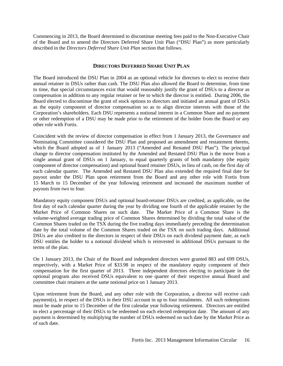Commencing in 2013, the Board determined to discontinue meeting fees paid to the Non-Executive Chair of the Board and to amend the Directors Deferred Share Unit Plan ("DSU Plan") as more particularly described in the *Directors Deferred Share Unit Plan* section that follows.

#### **DIRECTORS DEFERRED SHARE UNIT PLAN**

The Board introduced the DSU Plan in 2004 as an optional vehicle for directors to elect to receive their annual retainer in DSUs rather than cash. The DSU Plan also allowed the Board to determine, from time to time, that special circumstances exist that would reasonably justify the grant of DSUs to a director as compensation in addition to any regular retainer or fee to which the director is entitled. During 2006, the Board elected to discontinue the grant of stock options to directors and initiated an annual grant of DSUs as the equity component of director compensation so as to align director interests with those of the Corporation's shareholders. Each DSU represents a notional interest in a Common Share and no payment or other redemption of a DSU may be made prior to the retirement of the holder from the Board or any other role with Fortis.

Coincident with the review of director compensation in effect from 1 January 2013, the Governance and Nominating Committee considered the DSU Plan and proposed an amendment and restatement thereto, which the Board adopted as of 1 January 2013 ("Amended and Restated DSU Plan"). The principal change to director compensation instituted by the Amended and Restated DSU Plan is the move from a single annual grant of DSUs on 1 January, to equal quarterly grants of both mandatory (the equity component of director compensation) and optional board retainer DSUs, in lieu of cash, on the first day of each calendar quarter. The Amended and Restated DSU Plan also extended the required final date for payout under the DSU Plan upon retirement from the Board and any other role with Fortis from 15 March to 15 December of the year following retirement and increased the maximum number of payouts from two to four.

Mandatory equity component DSUs and optional board-retainer DSUs are credited, as applicable, on the first day of each calendar quarter during the year by dividing one fourth of the applicable retainer by the Market Price of Common Shares on such date. The Market Price of a Common Share is the volume-weighted average trading price of Common Shares determined by dividing the total value of the Common Shares traded on the TSX during the five trading days immediately preceding the determination date by the total volume of the Common Shares traded on the TSX on such trading days. Additional DSUs are also credited to the directors in respect of their DSUs on each dividend payment date, as each DSU entitles the holder to a notional dividend which is reinvested in additional DSUs pursuant to the terms of the plan.

On 1 January 2013, the Chair of the Board and independent directors were granted 883 and 699 DSUs, respectively, with a Market Price of \$33.98 in respect of the mandatory equity component of their compensation for the first quarter of 2013. Three independent directors electing to participate in the optional program also received DSUs equivalent to one quarter of their respective annual Board and committee chair retainers at the same notional price on 1 January 2013.

Upon retirement from the Board, and any other role with the Corporation, a director will receive cash payment(s), in respect of the DSUs in their DSU account in up to four instalments. All such redemptions must be made prior to 15 December of the first calendar year following retirement. Directors are entitled to elect a percentage of their DSUs to be redeemed on each elected redemption date. The amount of any payment is determined by multiplying the number of DSUs redeemed on such date by the Market Price as of such date.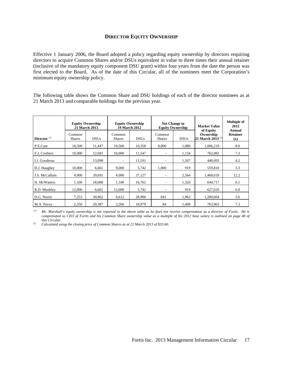#### **DIRECTOR EQUITY OWNERSHIP**

Effective 1 January 2006, the Board adopted a policy regarding equity ownership by directors requiring directors to acquire Common Shares and/or DSUs equivalent in value to three times their annual retainer (inclusive of the mandatory equity component DSU grant) within four years from the date the person was first elected to the Board. As of the date of this Circular, all of the nominees meet the Corporation's minimum equity ownership policy.

The following table shows the Common Share and DSU holdings of each of the director nominees as at 21 March 2013 and comparable holdings for the previous year.

| Director $(1)$ | Common<br><b>Shares</b>  | <b>Equity Ownership</b><br><b>21 March 2013</b><br><b>DSUs</b> | Common<br><b>Shares</b>  | <b>Equity Ownership</b><br><b>19 March 2012</b><br><b>DSUs</b> | Common<br><b>Shares</b>  | Net Change in<br><b>Equity Ownership</b><br><b>DSUs</b> | <b>Market Value</b><br>of Equity<br>Ownership<br>21 March 2013 <sup>(2)</sup> | <b>Multiple of</b><br>2012<br>Annual<br><b>Retainer</b> |
|----------------|--------------------------|----------------------------------------------------------------|--------------------------|----------------------------------------------------------------|--------------------------|---------------------------------------------------------|-------------------------------------------------------------------------------|---------------------------------------------------------|
|                |                          |                                                                |                          |                                                                |                          |                                                         |                                                                               | (x)                                                     |
| P.E.Case       | 18,500                   | 11,447                                                         | 10,500                   | 10,358                                                         | 8,000                    | 1,089                                                   | 1,006,219                                                                     | 8.0                                                     |
| F.J. Crothers  | 10.000                   | 12,681                                                         | 10.000                   | 11,547                                                         | $\overline{\phantom{a}}$ | 1,134                                                   | 762,082                                                                       | 7.3                                                     |
| I.J. Goodreau  | $\overline{\phantom{0}}$ | 13,098                                                         | $\overline{\phantom{a}}$ | 11,591                                                         | $\overline{\phantom{a}}$ | 1,507                                                   | 440,093                                                                       | 4.2                                                     |
| D.J. Haughey   | 10.000                   | 6,661                                                          | 9,000                    | 5,742                                                          | 1,000                    | 919                                                     | 559,810                                                                       | 5.3                                                     |
| J.S. McCallum  | 4.000                    | 39,691                                                         | 4,000                    | 37,127                                                         | ٠                        | 2,564                                                   | 1,468,018                                                                     | 12.2                                                    |
| H. McWatters   | 1,100                    | 18,088                                                         | 1,100                    | 16,762                                                         | $\overline{\phantom{a}}$ | 1,326                                                   | 644,717                                                                       | 6.1                                                     |
| R.D. Munkley   | 12,000                   | 6,661                                                          | 12,000                   | 5,742                                                          | $\overline{\phantom{a}}$ | 919                                                     | 627,010                                                                       | 6.0                                                     |
| D.G. Norris    | 7,253                    | 30,862                                                         | 6,612                    | 28,900                                                         | 641                      | 1,962                                                   | 1,280,664                                                                     | 5.6                                                     |
| M.A. Pavey     | 2,350                    | 20,387                                                         | 2,266                    | 18,979                                                         | 84                       | 1,408                                                   | 763,963                                                                       | 7.3                                                     |

 *(1) Mr. Marshall's equity ownership is not reported in the above table as he does not receive compensation as a director of Fortis. He is compensated as CEO of Fortis and his Common Share ownership value as a multiple of his 2012 base salary is outlined on page 40 of* 

*this Circular. (2) Calculated using the closing price of Common Shares as at 21 March 2013 of \$33.60.*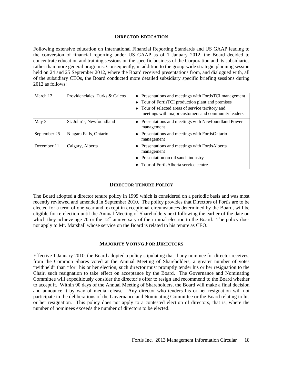#### **DIRECTOR EDUCATION**

Following extensive education on International Financial Reporting Standards and US GAAP leading to the conversion of financial reporting under US GAAP as of 1 January 2012, the Board decided to concentrate education and training sessions on the specific business of the Corporation and its subsidiaries rather than more general programs. Consequently, in addition to the group-wide strategic planning session held on 24 and 25 September 2012, where the Board received presentations from, and dialogued with, all of the subsidiary CEOs, the Board conducted more detailed subsidiary specific briefing sessions during 2012 as follows:

| March 12     | Providenciales, Turks & Caicos | • Presentations and meetings with FortisTCI management<br>• Tour of FortisTCI production plant and premises<br>• Tour of selected areas of service territory and<br>meetings with major customers and community leaders |
|--------------|--------------------------------|-------------------------------------------------------------------------------------------------------------------------------------------------------------------------------------------------------------------------|
| May 3        | St. John's, Newfoundland       | • Presentations and meetings with Newfoundland Power<br>management                                                                                                                                                      |
| September 25 | Niagara Falls, Ontario         | • Presentations and meetings with FortisOntario<br>management                                                                                                                                                           |
| December 11  | Calgary, Alberta               | • Presentations and meetings with FortisAlberta<br>management<br>• Presentation on oil sands industry<br>• Tour of FortisAlberta service centre                                                                         |

#### **DIRECTOR TENURE POLICY**

The Board adopted a director tenure policy in 1999 which is considered on a periodic basis and was most recently reviewed and amended in September 2010. The policy provides that Directors of Fortis are to be elected for a term of one year and, except in exceptional circumstances determined by the Board, will be eligible for re-election until the Annual Meeting of Shareholders next following the earlier of the date on which they achieve age 70 or the  $12<sup>th</sup>$  anniversary of their initial election to the Board. The policy does not apply to Mr. Marshall whose service on the Board is related to his tenure as CEO.

#### **MAJORITY VOTING FOR DIRECTORS**

Effective 1 January 2010, the Board adopted a policy stipulating that if any nominee for director receives, from the Common Shares voted at the Annual Meeting of Shareholders, a greater number of votes "withheld" than "for" his or her election, such director must promptly tender his or her resignation to the Chair, such resignation to take effect on acceptance by the Board. The Governance and Nominating Committee will expeditiously consider the director's offer to resign and recommend to the Board whether to accept it. Within 90 days of the Annual Meeting of Shareholders, the Board will make a final decision and announce it by way of media release. Any director who tenders his or her resignation will not participate in the deliberations of the Governance and Nominating Committee or the Board relating to his or her resignation. This policy does not apply to a contested election of directors, that is, where the number of nominees exceeds the number of directors to be elected.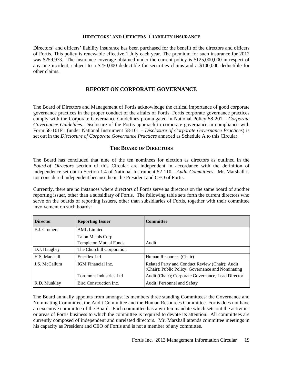#### **DIRECTORS' AND OFFICERS' LIABILITY INSURANCE**

Directors' and officers' liability insurance has been purchased for the benefit of the directors and officers of Fortis. This policy is renewable effective 1 July each year. The premium for such insurance for 2012 was \$259,973. The insurance coverage obtained under the current policy is \$125,000,000 in respect of any one incident, subject to a \$250,000 deductible for securities claims and a \$100,000 deductible for other claims.

#### **REPORT ON CORPORATE GOVERNANCE**

The Board of Directors and Management of Fortis acknowledge the critical importance of good corporate governance practices in the proper conduct of the affairs of Fortis. Fortis corporate governance practices comply with the Corporate Governance Guidelines promulgated in National Policy 58-201 – *Corporate Governance Guidelines*. Disclosure of the Fortis approach to corporate governance in compliance with Form 58-101F1 (under National Instrument 58-101 – *Disclosure of Corporate Governance Practices*) is set out in the *Disclosure of Corporate Governance Practices* annexed as Schedule A to this Circular.

#### **THE BOARD OF DIRECTORS**

The Board has concluded that nine of the ten nominees for election as directors as outlined in the *Board of Directors* section of this Circular are independent in accordance with the definition of independence set out in Section 1.4 of National Instrument 52-110 – *Audit Committees*. Mr. Marshall is not considered independent because he is the President and CEO of Fortis.

Currently, there are no instances where directors of Fortis serve as directors on the same board of another reporting issuer, other than a subsidiary of Fortis. The following table sets forth the current directors who serve on the boards of reporting issuers, other than subsidiaries of Fortis, together with their committee involvement on such boards:

| <b>Director</b> | <b>Reporting Issuer</b>        | <b>Committee</b>                                                                                     |
|-----------------|--------------------------------|------------------------------------------------------------------------------------------------------|
| F.J. Crothers   | <b>AML</b> Limited             |                                                                                                      |
|                 | Talon Metals Corp.             |                                                                                                      |
|                 | <b>Templeton Mutual Funds</b>  | Audit                                                                                                |
| D.J. Haughey    | The Churchill Corporation      |                                                                                                      |
| H.S. Marshall   | Enerflex Ltd                   | Human Resources (Chair)                                                                              |
| J.S. McCallum   | IGM Financial Inc.             | Related Party and Conduct Review (Chair); Audit<br>(Chair); Public Policy; Governance and Nominating |
|                 | <b>Toromont Industries Ltd</b> | Audit (Chair); Corporate Governance, Lead Director                                                   |
| R.D. Munkley    | Bird Construction Inc.         | Audit; Personnel and Safety                                                                          |

The Board annually appoints from amongst its members three standing Committees: the Governance and Nominating Committee, the Audit Committee and the Human Resources Committee. Fortis does not have an executive committee of the Board. Each committee has a written mandate which sets out the activities or areas of Fortis business to which the committee is required to devote its attention. All committees are currently composed of independent and unrelated directors. Mr. Marshall attends committee meetings in his capacity as President and CEO of Fortis and is not a member of any committee.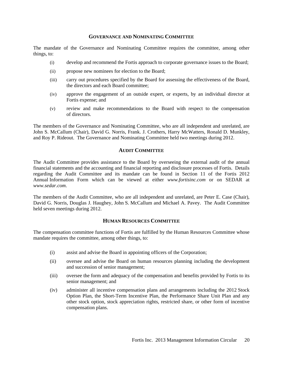#### **GOVERNANCE AND NOMINATING COMMITTEE**

The mandate of the Governance and Nominating Committee requires the committee, among other things, to:

- (i) develop and recommend the Fortis approach to corporate governance issues to the Board;
- (ii) propose new nominees for election to the Board;
- (iii) carry out procedures specified by the Board for assessing the effectiveness of the Board, the directors and each Board committee;
- (iv) approve the engagement of an outside expert, or experts, by an individual director at Fortis expense; and
- (v) review and make recommendations to the Board with respect to the compensation of directors.

The members of the Governance and Nominating Committee, who are all independent and unrelated, are John S. McCallum (Chair), David G. Norris, Frank. J. Crothers, Harry McWatters, Ronald D. Munkley, and Roy P. Rideout. The Governance and Nominating Committee held two meetings during 2012.

#### **AUDIT COMMITTEE**

The Audit Committee provides assistance to the Board by overseeing the external audit of the annual financial statements and the accounting and financial reporting and disclosure processes of Fortis. Details regarding the Audit Committee and its mandate can be found in Section 11 of the Fortis 2012 Annual Information Form which can be viewed at either *www.fortisinc.com* or on SEDAR at *www.sedar.com*.

The members of the Audit Committee, who are all independent and unrelated, are Peter E. Case (Chair), David G. Norris, Douglas J. Haughey, John S. McCallum and Michael A. Pavey. The Audit Committee held seven meetings during 2012.

#### **HUMAN RESOURCES COMMITTEE**

The compensation committee functions of Fortis are fulfilled by the Human Resources Committee whose mandate requires the committee, among other things, to:

- (i) assist and advise the Board in appointing officers of the Corporation;
- (ii) oversee and advise the Board on human resources planning including the development and succession of senior management;
- (iii) oversee the form and adequacy of the compensation and benefits provided by Fortis to its senior management; and
- (iv) administer all incentive compensation plans and arrangements including the 2012 Stock Option Plan, the Short-Term Incentive Plan, the Performance Share Unit Plan and any other stock option, stock appreciation rights, restricted share, or other form of incentive compensation plans.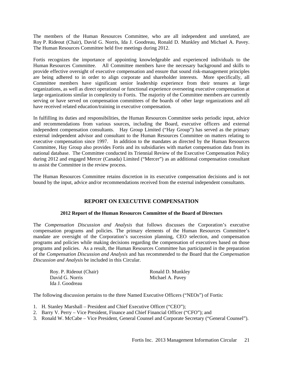The members of the Human Resources Committee, who are all independent and unrelated, are Roy P. Rideout (Chair), David G. Norris, Ida J. Goodreau, Ronald D. Munkley and Michael A. Pavey. The Human Resources Committee held five meetings during 2012.

Fortis recognizes the importance of appointing knowledgeable and experienced individuals to the Human Resources Committee. All Committee members have the necessary background and skills to provide effective oversight of executive compensation and ensure that sound risk-management principles are being adhered to in order to align corporate and shareholder interests. More specifically, all Committee members have significant senior leadership experience from their tenures at large organizations, as well as direct operational or functional experience overseeing executive compensation at large organizations similar in complexity to Fortis. The majority of the Committee members are currently serving or have served on compensation committees of the boards of other large organizations and all have received related education/training in executive compensation.

In fulfilling its duties and responsibilities, the Human Resources Committee seeks periodic input, advice and recommendations from various sources, including the Board, executive officers and external independent compensation consultants. Hay Group Limited ("Hay Group") has served as the primary external independent advisor and consultant to the Human Resources Committee on matters relating to executive compensation since 1997. In addition to the mandates as directed by the Human Resources Committee, Hay Group also provides Fortis and its subsidiaries with market compensation data from its national database. The Committee conducted its Triennial Review of the Executive Compensation Policy during 2012 and engaged Mercer (Canada) Limited ("Mercer") as an additional compensation consultant to assist the Committee in the review process.

The Human Resources Committee retains discretion in its executive compensation decisions and is not bound by the input, advice and/or recommendations received from the external independent consultants.

#### **REPORT ON EXECUTIVE COMPENSATION**

#### **2012 Report of the Human Resources Committee of the Board of Directors**

The *Compensation Discussion and Analysis* that follows discusses the Corporation's executive compensation programs and policies. The primary elements of the Human Resources Committee's mandate are oversight of the Corporation's succession planning, CEO selection, and compensation programs and policies while making decisions regarding the compensation of executives based on those programs and policies. As a result, the Human Resources Committee has participated in the preparation of the *Compensation Discussion and Analysis* and has recommended to the Board that the *Compensation Discussion and Analysis* be included in this Circular.

| Roy. P. Rideout (Chair) | Ronald D. Munkley |
|-------------------------|-------------------|
| David G. Norris         | Michael A. Pavey  |
| Ida J. Goodreau         |                   |

The following discussion pertains to the three Named Executive Officers ("NEOs") of Fortis:

- 1. H. Stanley Marshall President and Chief Executive Officer ("CEO");
- 2. Barry V. Perry Vice President, Finance and Chief Financial Officer ("CFO"); and
- 3. Ronald W. McCabe Vice President, General Counsel and Corporate Secretary ("General Counsel").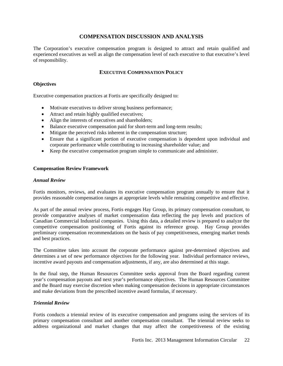#### **COMPENSATION DISCUSSION AND ANALYSIS**

The Corporation's executive compensation program is designed to attract and retain qualified and experienced executives as well as align the compensation level of each executive to that executive's level of responsibility.

#### **EXECUTIVE COMPENSATION POLICY**

#### **Objectives**

Executive compensation practices at Fortis are specifically designed to:

- Motivate executives to deliver strong business performance;
- Attract and retain highly qualified executives;
- Align the interests of executives and shareholders:
- Balance executive compensation paid for short-term and long-term results;
- Mitigate the perceived risks inherent in the compensation structure;
- Ensure that a significant portion of executive compensation is dependent upon individual and corporate performance while contributing to increasing shareholder value; and
- Keep the executive compensation program simple to communicate and administer.

#### **Compensation Review Framework**

#### *Annual Review*

Fortis monitors, reviews, and evaluates its executive compensation program annually to ensure that it provides reasonable compensation ranges at appropriate levels while remaining competitive and effective.

As part of the annual review process, Fortis engages Hay Group, its primary compensation consultant, to provide comparative analyses of market compensation data reflecting the pay levels and practices of Canadian Commercial Industrial companies. Using this data, a detailed review is prepared to analyze the competitive compensation positioning of Fortis against its reference group. Hay Group provides preliminary compensation recommendations on the basis of pay competitiveness, emerging market trends and best practices.

The Committee takes into account the corporate performance against pre-determined objectives and determines a set of new performance objectives for the following year. Individual performance reviews, incentive award payouts and compensation adjustments, if any, are also determined at this stage.

In the final step, the Human Resources Committee seeks approval from the Board regarding current year's compensation payouts and next year's performance objectives. The Human Resources Committee and the Board may exercise discretion when making compensation decisions in appropriate circumstances and make deviations from the prescribed incentive award formulas, if necessary.

#### *Triennial Review*

Fortis conducts a triennial review of its executive compensation and programs using the services of its primary compensation consultant and another compensation consultant. The triennial review seeks to address organizational and market changes that may affect the competitiveness of the existing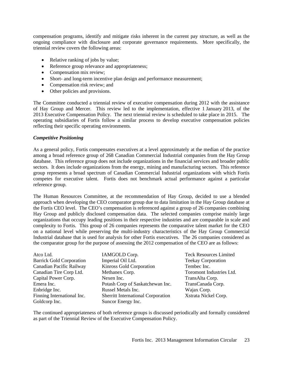compensation programs, identify and mitigate risks inherent in the current pay structure, as well as the ongoing compliance with disclosure and corporate governance requirements. More specifically, the triennial review covers the following areas:

- Relative ranking of jobs by value;
- Reference group relevance and appropriateness;
- Compensation mix review;
- Short- and long-term incentive plan design and performance measurement;
- Compensation risk review; and
- Other policies and provisions.

The Committee conducted a triennial review of executive compensation during 2012 with the assistance of Hay Group and Mercer. This review led to the implementation, effective 1 January 2013, of the 2013 Executive Compensation Policy. The next triennial review is scheduled to take place in 2015. The operating subsidiaries of Fortis follow a similar process to develop executive compensation policies reflecting their specific operating environments.

#### *Competitive Positioning*

As a general policy, Fortis compensates executives at a level approximately at the median of the practice among a broad reference group of 268 Canadian Commercial Industrial companies from the Hay Group database. This reference group does not include organizations in the financial services and broader public sectors. It does include organizations from the energy, mining and manufacturing sectors. This reference group represents a broad spectrum of Canadian Commercial Industrial organizations with which Fortis competes for executive talent. Fortis does not benchmark actual performance against a particular reference group.

The Human Resources Committee, at the recommendation of Hay Group, decided to use a blended approach when developing the CEO comparator group due to data limitation in the Hay Group database at the Fortis CEO level. The CEO's compensation is referenced against a group of 26 companies combining Hay Group and publicly disclosed compensation data. The selected companies comprise mainly large organizations that occupy leading positions in their respective industries and are comparable in scale and complexity to Fortis. This group of 26 companies represents the comparative talent market for the CEO on a national level while preserving the multi-industry characteristics of the Hay Group Commercial Industrial database that is used for analysis for other Fortis executives. The 26 companies considered as the comparator group for the purpose of assessing the 2012 compensation of the CEO are as follows:

| Atco Ltd.                       | IAMGOLD Corp.                             | <b>Teck Resources Limited</b> |
|---------------------------------|-------------------------------------------|-------------------------------|
| <b>Barrick Gold Corporation</b> | Imperial Oil Ltd.                         | <b>Teekay Corporation</b>     |
| Canadian Pacific Railway        | Kinross Gold Corporation                  | Tembec Inc.                   |
| Canadian Tire Corp Ltd.         | Methanex Corp.                            | Toromont Industries Ltd.      |
| Capital Power Corp.             | Nexen Inc.                                | TransAlta Corp.               |
| Emera Inc.                      | Potash Corp of Saskatchewan Inc.          | TransCanada Corp.             |
| Enbridge Inc.                   | Russel Metals Inc.                        | Wajax Corp.                   |
| Finning International Inc.      | <b>Sherritt International Corporation</b> | Xstrata Nickel Corp.          |
| Goldcorp Inc.                   | Suncor Energy Inc.                        |                               |

The continued appropriateness of both reference groups is discussed periodically and formally considered as part of the Triennial Review of the Executive Compensation Policy.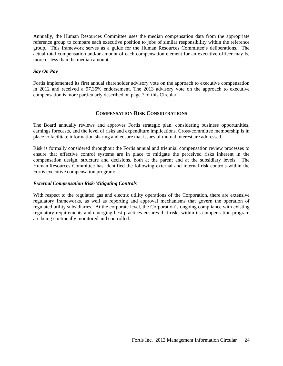Annually, the Human Resources Committee uses the median compensation data from the appropriate reference group to compare each executive position to jobs of similar responsibility within the reference group. This framework serves as a guide for the Human Resources Committee's deliberations. The actual total compensation and/or amount of each compensation element for an executive officer may be more or less than the median amount.

#### *Say On Pay*

Fortis implemented its first annual shareholder advisory vote on the approach to executive compensation in 2012 and received a 97.35% endorsement. The 2013 advisory vote on the approach to executive compensation is more particularly described on page 7 of this Circular.

#### **COMPENSATION RISK CONSIDERATIONS**

The Board annually reviews and approves Fortis strategic plan, considering business opportunities, earnings forecasts, and the level of risks and expenditure implications. Cross-committee membership is in place to facilitate information sharing and ensure that issues of mutual interest are addressed.

Risk is formally considered throughout the Fortis annual and triennial compensation review processes to ensure that effective control systems are in place to mitigate the perceived risks inherent in the compensation design, structure and decisions, both at the parent and at the subsidiary levels. The Human Resources Committee has identified the following external and internal risk controls within the Fortis executive compensation program:

#### *External Compensation Risk-Mitigating Controls*

With respect to the regulated gas and electric utility operations of the Corporation, there are extensive regulatory frameworks, as well as reporting and approval mechanisms that govern the operation of regulated utility subsidiaries. At the corporate level, the Corporation's ongoing compliance with existing regulatory requirements and emerging best practices ensures that risks within its compensation program are being continually monitored and controlled.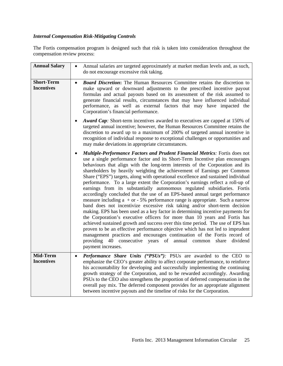#### *Internal Compensation Risk-Mitigating Controls*

The Fortis compensation program is designed such that risk is taken into consideration throughout the compensation review process:

| <b>Annual Salary</b>                   | Annual salaries are targeted approximately at market median levels and, as such,<br>do not encourage excessive risk taking.                                                                                                                                                                                                                                                                                                                                                                                                                                                                                                                                                                                                                                                                                                                                                                                                                                                                                                                                                                                                                                                                                                                                                                                                                                                                   |
|----------------------------------------|-----------------------------------------------------------------------------------------------------------------------------------------------------------------------------------------------------------------------------------------------------------------------------------------------------------------------------------------------------------------------------------------------------------------------------------------------------------------------------------------------------------------------------------------------------------------------------------------------------------------------------------------------------------------------------------------------------------------------------------------------------------------------------------------------------------------------------------------------------------------------------------------------------------------------------------------------------------------------------------------------------------------------------------------------------------------------------------------------------------------------------------------------------------------------------------------------------------------------------------------------------------------------------------------------------------------------------------------------------------------------------------------------|
| <b>Short-Term</b><br><b>Incentives</b> | <b>Board Discretion:</b> The Human Resources Committee retains the discretion to<br>$\bullet$<br>make upward or downward adjustments to the prescribed incentive payout<br>formulas and actual payouts based on its assessment of the risk assumed to<br>generate financial results, circumstances that may have influenced individual<br>performance, as well as external factors that may have impacted the<br>Corporation's financial performance.<br><b>Award Cap:</b> Short-term incentives awarded to executives are capped at 150% of<br>targeted annual incentive; however, the Human Resources Committee retains the<br>discretion to award up to a maximum of 200% of targeted annual incentive in<br>recognition of individual response to exceptional challenges or opportunities and                                                                                                                                                                                                                                                                                                                                                                                                                                                                                                                                                                                             |
|                                        | may make deviations in appropriate circumstances.<br>Multiple-Performance Factors and Prudent Financial Metrics: Fortis does not<br>use a single performance factor and its Short-Term Incentive plan encourages<br>behaviours that align with the long-term interests of the Corporation and its<br>shareholders by heavily weighting the achievement of Earnings per Common<br>Share ("EPS") targets, along with operational excellence and sustained individual<br>performance. To a large extent the Corporation's earnings reflect a roll-up of<br>earnings from its substantially autonomous regulated subsidiaries. Fortis<br>accordingly concluded that the use of an EPS-based annual target performance<br>measure including $a + or - 5\%$ performance range is appropriate. Such a narrow<br>band does not incentivize excessive risk taking and/or short-term decision<br>making. EPS has been used as a key factor in determining incentive payments for<br>the Corporation's executive officers for more than 10 years and Fortis has<br>achieved sustained growth and success over this time period. The use of EPS has<br>proven to be an effective performance objective which has not led to imprudent<br>management practices and encourages continuation of the Fortis record of<br>providing 40 consecutive years of annual common share dividend<br>payment increases. |
| Mid-Term<br><b>Incentives</b>          | Performance Share Units ("PSUs"): PSUs are awarded to the CEO to<br>$\bullet$<br>emphasize the CEO's greater ability to affect corporate performance, to reinforce<br>his accountability for developing and successfully implementing the continuing<br>growth strategy of the Corporation, and to be rewarded accordingly. Awarding<br>PSUs to the CEO also strengthens the proportion of deferred compensation in the<br>overall pay mix. The deferred component provides for an appropriate alignment<br>between incentive payouts and the timeline of risks for the Corporation.                                                                                                                                                                                                                                                                                                                                                                                                                                                                                                                                                                                                                                                                                                                                                                                                          |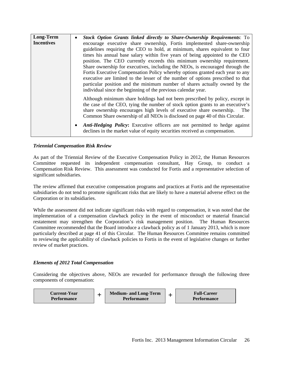| Long-Term         | Stock Option Grants linked directly to Share-Ownership Requirements: To                                                                                                                                                                                                                                                       |
|-------------------|-------------------------------------------------------------------------------------------------------------------------------------------------------------------------------------------------------------------------------------------------------------------------------------------------------------------------------|
| <b>Incentives</b> | encourage executive share ownership, Fortis implemented share-ownership                                                                                                                                                                                                                                                       |
|                   | guidelines requiring the CEO to hold, at minimum, shares equivalent to four                                                                                                                                                                                                                                                   |
|                   | times his annual base salary within five years of being appointed to the CEO                                                                                                                                                                                                                                                  |
|                   | position. The CEO currently exceeds this minimum ownership requirement.                                                                                                                                                                                                                                                       |
|                   | Share ownership for executives, including the NEOs, is encouraged through the                                                                                                                                                                                                                                                 |
|                   | Fortis Executive Compensation Policy whereby options granted each year to any                                                                                                                                                                                                                                                 |
|                   | executive are limited to the lesser of the number of options prescribed to that                                                                                                                                                                                                                                               |
|                   | particular position and the minimum number of shares actually owned by the                                                                                                                                                                                                                                                    |
|                   | individual since the beginning of the previous calendar year.                                                                                                                                                                                                                                                                 |
|                   | Although minimum share holdings had not been prescribed by policy, except in<br>the case of the CEO, tying the number of stock option grants to an executive's<br>share ownership encourages high levels of executive share ownership.<br>The<br>Common Share ownership of all NEOs is disclosed on page 40 of this Circular. |
|                   | Anti-Hedging Policy: Executive officers are not permitted to hedge against<br>declines in the market value of equity securities received as compensation.                                                                                                                                                                     |

#### *Triennial Compensation Risk Review*

As part of the Triennial Review of the Executive Compensation Policy in 2012, the Human Resources Committee requested its independent compensation consultant, Hay Group, to conduct a Compensation Risk Review. This assessment was conducted for Fortis and a representative selection of significant subsidiaries.

The review affirmed that executive compensation programs and practices at Fortis and the representative subsidiaries do not tend to promote significant risks that are likely to have a material adverse effect on the Corporation or its subsidiaries.

While the assessment did not indicate significant risks with regard to compensation, it was noted that the implementation of a compensation clawback policy in the event of misconduct or material financial restatement may strengthen the Corporation's risk management position. The Human Resources Committee recommended that the Board introduce a clawback policy as of 1 January 2013, which is more particularly described at page 41 of this Circular. The Human Resources Committee remains committed to reviewing the applicability of clawback policies to Fortis in the event of legislative changes or further review of market practices.

#### *Elements of 2012 Total Compensation*

Considering the objectives above, NEOs are rewarded for performance through the following three components of compensation:

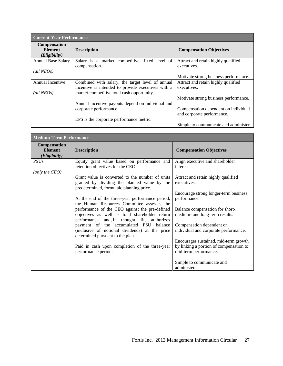| <b>Current-Year Performance</b>                     |                                                                                                        |                                                    |  |  |  |  |  |
|-----------------------------------------------------|--------------------------------------------------------------------------------------------------------|----------------------------------------------------|--|--|--|--|--|
| <b>Compensation</b><br><b>Element</b>               | <b>Description</b>                                                                                     | <b>Compensation Objectives</b>                     |  |  |  |  |  |
| ( <i>Eligibility</i> )<br><b>Annual Base Salary</b> | Salary is a market competitive, fixed level of<br>compensation.                                        | Attract and retain highly qualified<br>executives. |  |  |  |  |  |
| $\text{(all } NEOs)$                                |                                                                                                        | Motivate strong business performance.              |  |  |  |  |  |
| Annual Incentive                                    | Combined with salary, the target level of annual<br>incentive is intended to provide executives with a | Attract and retain highly qualified<br>executives. |  |  |  |  |  |
| $\text{(all } NEOs)$                                | market-competitive total cash opportunity.                                                             | Motivate strong business performance.              |  |  |  |  |  |
|                                                     | Annual incentive payouts depend on individual and<br>corporate performance.                            | Compensation dependent on individual               |  |  |  |  |  |
|                                                     | EPS is the corporate performance metric.                                                               | and corporate performance.                         |  |  |  |  |  |
|                                                     |                                                                                                        | Simple to communicate and administer.              |  |  |  |  |  |

| <b>Medium-Term Performance</b>                         |                                                                                                                                                                                                                                                                                                                                                   |                                                                                                                                                                                                              |  |  |  |  |  |
|--------------------------------------------------------|---------------------------------------------------------------------------------------------------------------------------------------------------------------------------------------------------------------------------------------------------------------------------------------------------------------------------------------------------|--------------------------------------------------------------------------------------------------------------------------------------------------------------------------------------------------------------|--|--|--|--|--|
| <b>Compensation</b><br><b>Element</b><br>(Eligibility) | <b>Description</b>                                                                                                                                                                                                                                                                                                                                | <b>Compensation Objectives</b>                                                                                                                                                                               |  |  |  |  |  |
| <b>PSUs</b>                                            | Equity grant value based on performance and<br>retention objectives for the CEO.                                                                                                                                                                                                                                                                  | Align executive and shareholder<br>interests.                                                                                                                                                                |  |  |  |  |  |
| (only the CEO)                                         | Grant value is converted to the number of units<br>granted by dividing the planned value by the<br>predetermined, formulaic planning price.<br>At the end of the three-year performance period,<br>the Human Resources Committee assesses the<br>performance of the CEO against the pre-defined<br>objectives as well as total shareholder return | Attract and retain highly qualified<br>executives.<br>Encourage strong longer-term business<br>performance.<br>Balance compensation for short-,<br>medium- and long-term results.                            |  |  |  |  |  |
|                                                        | performance and, if thought fit, authorizes<br>payment of the accumulated PSU balance<br>(inclusive of notional dividends) at the price<br>determined pursuant to the plan.<br>Paid in cash upon completion of the three-year<br>performance period.                                                                                              | Compensation dependent on<br>individual and corporate performance.<br>Encourages sustained, mid-term growth<br>by linking a portion of compensation to<br>mid-term performance.<br>Simple to communicate and |  |  |  |  |  |
|                                                        |                                                                                                                                                                                                                                                                                                                                                   | administer.                                                                                                                                                                                                  |  |  |  |  |  |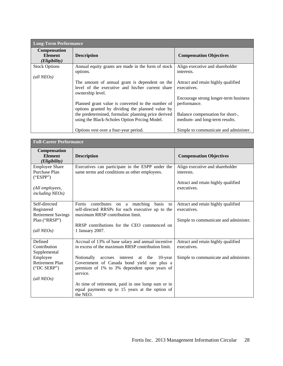| <b>Long-Term Performance</b>                                    |                                                                                                                                                                                                                                                                                                                                         |                                                                                                                                                                                   |  |  |  |  |  |  |  |
|-----------------------------------------------------------------|-----------------------------------------------------------------------------------------------------------------------------------------------------------------------------------------------------------------------------------------------------------------------------------------------------------------------------------------|-----------------------------------------------------------------------------------------------------------------------------------------------------------------------------------|--|--|--|--|--|--|--|
| <b>Compensation</b><br><b>Element</b><br>( <i>Eligibility</i> ) | <b>Description</b>                                                                                                                                                                                                                                                                                                                      | <b>Compensation Objectives</b>                                                                                                                                                    |  |  |  |  |  |  |  |
| <b>Stock Options</b>                                            | Annual equity grants are made in the form of stock<br>options.                                                                                                                                                                                                                                                                          | Align executive and shareholder<br>interests.                                                                                                                                     |  |  |  |  |  |  |  |
| $\text{(all NEOs)}$                                             | The amount of annual grant is dependent on the<br>level of the executive and his/her current share<br>ownership level.<br>Planned grant value is converted to the number of<br>options granted by dividing the planned value by<br>the predetermined, formulaic planning price derived<br>using the Black-Scholes Option Pricing Model. | Attract and retain highly qualified<br>executives.<br>Encourage strong longer-term business<br>performance.<br>Balance compensation for short-,<br>medium- and long-term results. |  |  |  |  |  |  |  |
|                                                                 | Options vest over a four-year period.                                                                                                                                                                                                                                                                                                   | Simple to communicate and administer.                                                                                                                                             |  |  |  |  |  |  |  |

| <b>Full-Career Performance</b>                                    |                                                                                                                                                         |                                                    |  |  |  |  |  |
|-------------------------------------------------------------------|---------------------------------------------------------------------------------------------------------------------------------------------------------|----------------------------------------------------|--|--|--|--|--|
| Compensation<br><b>Element</b><br>(Eligibility)                   | <b>Description</b>                                                                                                                                      | <b>Compensation Objectives</b>                     |  |  |  |  |  |
| <b>Employee Share</b><br>Purchase Plan<br>("ESPP")                | Executives can participate in the ESPP under the<br>same terms and conditions as other employees.                                                       | Align executive and shareholder<br>interests.      |  |  |  |  |  |
| (All employees,<br>including NEOs)                                |                                                                                                                                                         | Attract and retain highly qualified<br>executives. |  |  |  |  |  |
| Self-directed<br>Registered                                       | Fortis<br>contributes<br>on a matching<br>basis<br>to<br>self-directed RRSPs for each executive up to the                                               | Attract and retain highly qualified<br>executives. |  |  |  |  |  |
| <b>Retirement Savings</b><br>Plan ("RRSP")<br>$\text{(all NEOs)}$ | maximum RRSP contribution limit.<br>RRSP contributions for the CEO commenced on<br>1 January 2007.                                                      | Simple to communicate and administer.              |  |  |  |  |  |
|                                                                   |                                                                                                                                                         |                                                    |  |  |  |  |  |
| Defined<br>Contribution<br>Supplemental                           | Accrual of 13% of base salary and annual incentive<br>in excess of the maximum RRSP contribution limit.                                                 | Attract and retain highly qualified<br>executives. |  |  |  |  |  |
| Employee<br><b>Retirement Plan</b><br>("DC SERP")                 | Notionally accrues<br>interest at the 10-year<br>Government of Canada bond yield rate plus a<br>premium of 1% to 3% dependent upon years of<br>service. | Simple to communicate and administer.              |  |  |  |  |  |
| $\text{(all NEOs)}$                                               | At time of retirement, paid in one lump sum or in                                                                                                       |                                                    |  |  |  |  |  |
|                                                                   | equal payments up to 15 years at the option of<br>the NEO.                                                                                              |                                                    |  |  |  |  |  |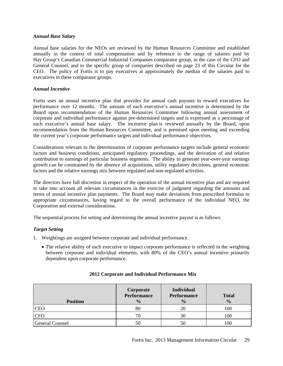#### *Annual Base Salary*

Annual base salaries for the NEOs are reviewed by the Human Resources Committee and established annually in the context of total compensation and by reference to the range of salaries paid by Hay Group's Canadian Commercial Industrial Companies comparator group, in the case of the CFO and General Counsel, and to the specific group of companies described on page 23 of this Circular for the CEO. The policy of Fortis is to pay executives at approximately the median of the salaries paid to executives in these comparator groups.

#### *Annual Incentive*

Fortis uses an annual incentive plan that provides for annual cash payouts to reward executives for performance over 12 months. The amount of each executive's annual incentive is determined by the Board upon recommendation of the Human Resources Committee following annual assessment of corporate and individual performance against pre-determined targets and is expressed as a percentage of each executive's annual base salary. The incentive plan is reviewed annually by the Board, upon recommendation from the Human Resources Committee, and is premised upon meeting and exceeding the current year's corporate performance targets and individual performance objectives.

Considerations relevant to the determination of corporate performance targets include general economic factors and business conditions, anticipated regulatory proceedings, and the derivation of and relative contribution to earnings of particular business segments. The ability to generate year-over-year earnings growth can be constrained by the absence of acquisitions, utility regulatory decisions, general economic factors and the relative earnings mix between regulated and non-regulated activities.

The directors have full discretion in respect of the operation of the annual incentive plan and are required to take into account all relevant circumstances in the exercise of judgment regarding the amounts and terms of annual incentive plan payments. The Board may make deviations from prescribed formulas in appropriate circumstances, having regard to the overall performance of the individual NEO, the Corporation and external considerations.

The sequential process for setting and determining the annual incentive payout is as follows:

#### *Target Setting*

- 1. Weightings are assigned between corporate and individual performance.
	- The relative ability of each executive to impact corporate performance is reflected in the weighting between corporate and individual elements, with 80% of the CEO's annual incentive primarily dependent upon corporate performance.

| <b>Position</b>        | Corporate<br>Performance<br>$\frac{0}{0}$ | <b>Individual</b><br><b>Performance</b><br>$\frac{0}{0}$ | <b>Total</b><br>$\frac{0}{0}$ |
|------------------------|-------------------------------------------|----------------------------------------------------------|-------------------------------|
| <b>CEO</b>             | 80                                        |                                                          | 100                           |
| <b>CFO</b>             | 70                                        | 30                                                       | 100                           |
| <b>General Counsel</b> | 50                                        | 50                                                       | 00                            |

#### **2012 Corporate and Individual Performance Mix**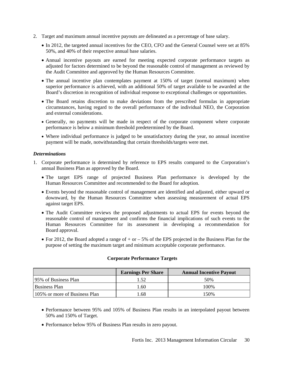- 2. Target and maximum annual incentive payouts are delineated as a percentage of base salary.
	- In 2012, the targeted annual incentives for the CEO, CFO and the General Counsel were set at 85% 50%, and 40% of their respective annual base salaries.
	- Annual incentive payouts are earned for meeting expected corporate performance targets as adjusted for factors determined to be beyond the reasonable control of management as reviewed by the Audit Committee and approved by the Human Resources Committee.
	- The annual incentive plan contemplates payment at 150% of target (normal maximum) when superior performance is achieved, with an additional 50% of target available to be awarded at the Board's discretion in recognition of individual response to exceptional challenges or opportunities.
	- The Board retains discretion to make deviations from the prescribed formulas in appropriate circumstances, having regard to the overall performance of the individual NEO, the Corporation and external considerations.
	- Generally, no payments will be made in respect of the corporate component where corporate performance is below a minimum threshold predetermined by the Board.
	- Where individual performance is judged to be unsatisfactory during the year, no annual incentive payment will be made, notwithstanding that certain thresholds/targets were met.

#### *Determinations*

- 1. Corporate performance is determined by reference to EPS results compared to the Corporation's annual Business Plan as approved by the Board.
	- The target EPS range of projected Business Plan performance is developed by the Human Resources Committee and recommended to the Board for adoption.
	- Events beyond the reasonable control of management are identified and adjusted, either upward or downward, by the Human Resources Committee when assessing measurement of actual EPS against target EPS.
	- The Audit Committee reviews the proposed adjustments to actual EPS for events beyond the reasonable control of management and confirms the financial implications of such events to the Human Resources Committee for its assessment in developing a recommendation for Board approval.
	- For 2012, the Board adopted a range of  $+$  or  $-5\%$  of the EPS projected in the Business Plan for the purpose of setting the maximum target and minimum acceptable corporate performance.

#### **Corporate Performance Targets**

|                               | <b>Earnings Per Share</b> | <b>Annual Incentive Payout</b> |
|-------------------------------|---------------------------|--------------------------------|
| 195% of Business Plan         |                           | 50%                            |
| <b>Business Plan</b>          | 1.60                      | 100\%                          |
| 105% or more of Business Plan | .68                       | 150%                           |

- Performance between 95% and 105% of Business Plan results in an interpolated payout between 50% and 150% of Target.
- Performance below 95% of Business Plan results in zero payout.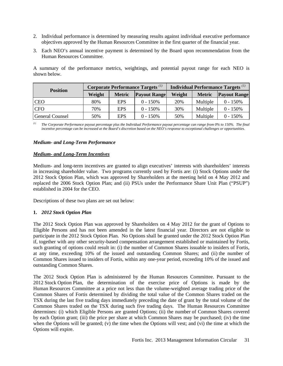- 2. Individual performance is determined by measuring results against individual executive performance objectives approved by the Human Resources Committee in the first quarter of the financial year.
- 3. Each NEO's annual incentive payment is determined by the Board upon recommendation from the Human Resources Committee.

A summary of the performance metrics, weightings, and potential payout range for each NEO is shown below.

| <b>Position</b>        | <b>Corporate Performance Targets</b> <sup>(1)</sup> |               |                     | Individual Performance Targets <sup>(1)</sup> |               |                     |
|------------------------|-----------------------------------------------------|---------------|---------------------|-----------------------------------------------|---------------|---------------------|
|                        | Weight                                              | <b>Metric</b> | <b>Payout Range</b> | Weight                                        | <b>Metric</b> | <b>Payout Range</b> |
| <b>CEO</b>             | 80%                                                 | <b>EPS</b>    | $0 - 150\%$         | 20%                                           | Multiple      | $0 - 150%$          |
| <b>CFO</b>             | 70%                                                 | <b>EPS</b>    | $0 - 150%$          | 30%                                           | Multiple      | $0 - 150%$          |
| <b>General Counsel</b> | 50%                                                 | <b>EPS</b>    | $0 - 150%$          | 50%                                           | Multiple      | $0 - 150%$          |

*(1) The Corporate Performance payout percentage plus the Individual Performance payout percentage can range from 0% to 150%. The final incentive percentage can be increased at the Board's discretion based on the NEO's response to exceptional challenges or opportunities.* 

#### *Medium- and Long-Term Performance*

 $\mathcal{L}_{\mathcal{A}}$ 

#### *Medium- and Long-Term Incentives*

Medium- and long-term incentives are granted to align executives' interests with shareholders' interests in increasing shareholder value. Two programs currently used by Fortis are: (i) Stock Options under the 2012 Stock Option Plan, which was approved by Shareholders at the meeting held on 4 May 2012 and replaced the 2006 Stock Option Plan; and (ii) PSUs under the Performance Share Unit Plan ("PSUP") established in 2004 for the CEO.

Descriptions of these two plans are set out below:

#### **1.** *2012 Stock Option Plan*

The 2012 Stock Option Plan was approved by Shareholders on 4 May 2012 for the grant of Options to Eligible Persons and has not been amended in the latest financial year. Directors are not eligible to participate in the 2012 Stock Option Plan. No Options shall be granted under the 2012 Stock Option Plan if, together with any other security-based compensation arrangement established or maintained by Fortis, such granting of options could result in: (i) the number of Common Shares issuable to insiders of Fortis, at any time, exceeding 10% of the issued and outstanding Common Shares; and (ii) the number of Common Shares issued to insiders of Fortis, within any one-year period, exceeding 10% of the issued and outstanding Common Shares.

The 2012 Stock Option Plan is administered by the Human Resources Committee. Pursuant to the 2012 Stock Option Plan, the determination of the exercise price of Options is made by the Human Resources Committee at a price not less than the volume-weighted average trading price of the Common Shares of Fortis determined by dividing the total value of the Common Shares traded on the TSX during the last five trading days immediately preceding the date of grant by the total volume of the Common Shares traded on the TSX during such five trading days. The Human Resources Committee determines: (i) which Eligible Persons are granted Options; (ii) the number of Common Shares covered by each Option grant; (iii) the price per share at which Common Shares may be purchased; (iv) the time when the Options will be granted; (v) the time when the Options will vest; and (vi) the time at which the Options will expire.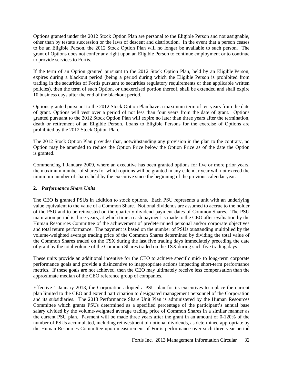Options granted under the 2012 Stock Option Plan are personal to the Eligible Person and not assignable, other than by testate succession or the laws of descent and distribution. In the event that a person ceases to be an Eligible Person, the 2012 Stock Option Plan will no longer be available to such person. The grant of Options does not confer any right upon an Eligible Person to continue employment or to continue to provide services to Fortis.

If the term of an Option granted pursuant to the 2012 Stock Option Plan, held by an Eligible Person, expires during a blackout period (being a period during which the Eligible Person is prohibited from trading in the securities of Fortis pursuant to securities regulatory requirements or then applicable written policies), then the term of such Option, or unexercised portion thereof, shall be extended and shall expire 10 business days after the end of the blackout period.

Options granted pursuant to the 2012 Stock Option Plan have a maximum term of ten years from the date of grant. Options will vest over a period of not less than four years from the date of grant. Options granted pursuant to the 2012 Stock Option Plan will expire no later than three years after the termination, death or retirement of an Eligible Person. Loans to Eligible Persons for the exercise of Options are prohibited by the 2012 Stock Option Plan.

The 2012 Stock Option Plan provides that, notwithstanding any provision in the plan to the contrary, no Option may be amended to reduce the Option Price below the Option Price as of the date the Option is granted.

Commencing 1 January 2009, where an executive has been granted options for five or more prior years, the maximum number of shares for which options will be granted in any calendar year will not exceed the minimum number of shares held by the executive since the beginning of the previous calendar year.

#### **2.** *Performance Share Units*

The CEO is granted PSUs in addition to stock options. Each PSU represents a unit with an underlying value equivalent to the value of a Common Share. Notional dividends are assumed to accrue to the holder of the PSU and to be reinvested on the quarterly dividend payment dates of Common Shares. The PSU maturation period is three years, at which time a cash payment is made to the CEO after evaluation by the Human Resources Committee of the achievement of predetermined personal and/or corporate objectives and total return performance. The payment is based on the number of PSUs outstanding multiplied by the volume-weighted average trading price of the Common Shares determined by dividing the total value of the Common Shares traded on the TSX during the last five trading days immediately preceding the date of grant by the total volume of the Common Shares traded on the TSX during such five trading days.

These units provide an additional incentive for the CEO to achieve specific mid- to long-term corporate performance goals and provide a disincentive to inappropriate actions impacting short-term performance metrics. If these goals are not achieved, then the CEO may ultimately receive less compensation than the approximate median of the CEO reference group of companies.

Effective 1 January 2013, the Corporation adopted a PSU plan for its executives to replace the current plan limited to the CEO and extend participation to designated management personnel of the Corporation and its subsidiaries. The 2013 Performance Share Unit Plan is administered by the Human Resources Committee which grants PSUs determined as a specified percentage of the participant's annual base salary divided by the volume-weighted average trading price of Common Shares in a similar manner as the current PSU plan. Payment will be made three years after the grant in an amount of 0-120% of the number of PSUs accumulated, including reinvestment of notional dividends, as determined appropriate by the Human Resources Committee upon measurement of Fortis performance over such three-year period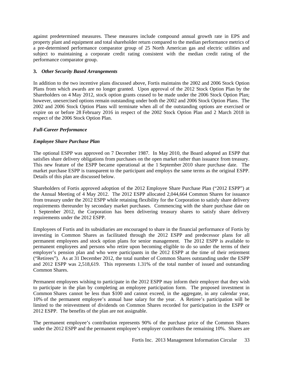against predetermined measures. These measures include compound annual growth rate in EPS and property plant and equipment and total shareholder return compared to the median performance metrics of a pre-determined performance comparator group of 25 North American gas and electric utilities and subject to maintaining a corporate credit rating consistent with the median credit rating of the performance comparator group.

#### **3.** *Other Security Based Arrangements*

In addition to the two incentive plans discussed above, Fortis maintains the 2002 and 2006 Stock Option Plans from which awards are no longer granted. Upon approval of the 2012 Stock Option Plan by the Shareholders on 4 May 2012, stock option grants ceased to be made under the 2006 Stock Option Plan; however, unexercised options remain outstanding under both the 2002 and 2006 Stock Option Plans. The 2002 and 2006 Stock Option Plans will terminate when all of the outstanding options are exercised or expire on or before 28 February 2016 in respect of the 2002 Stock Option Plan and 2 March 2018 in respect of the 2006 Stock Option Plan.

#### *Full-Career Performance*

#### *Employee Share Purchase Plan*

The optional ESPP was approved on 7 December 1987. In May 2010, the Board adopted an ESPP that satisfies share delivery obligations from purchases on the open market rather than issuance from treasury. This new feature of the ESPP became operational at the 1 September 2010 share purchase date. The market purchase ESPP is transparent to the participant and employs the same terms as the original ESPP. Details of this plan are discussed below.

Shareholders of Fortis approved adoption of the 2012 Employee Share Purchase Plan ("2012 ESPP") at the Annual Meeting of 4 May 2012. The 2012 ESPP allocated 2,044,664 Common Shares for issuance from treasury under the 2012 ESPP while retaining flexibility for the Corporation to satisfy share delivery requirements thereunder by secondary market purchases. Commencing with the share purchase date on 1 September 2012, the Corporation has been delivering treasury shares to satisfy share delivery requirements under the 2012 ESPP.

Employees of Fortis and its subsidiaries are encouraged to share in the financial performance of Fortis by investing in Common Shares as facilitated through the 2012 ESPP and predecessor plans for all permanent employees and stock option plans for senior management. The 2012 ESPP is available to permanent employees and persons who retire upon becoming eligible to do so under the terms of their employer's pension plan and who were participants in the 2012 ESPP at the time of their retirement ("Retirees"). As at 31 December 2012, the total number of Common Shares outstanding under the ESPP and 2012 ESPP was 2,518,619. This represents 1.31% of the total number of issued and outstanding Common Shares.

Permanent employees wishing to participate in the 2012 ESPP may inform their employer that they wish to participate in the plan by completing an employee participation form. The proposed investment in Common Shares cannot be less than \$100 and cannot exceed, in the aggregate, in any calendar year, 10% of the permanent employee's annual base salary for the year. A Retiree's participation will be limited to the reinvestment of dividends on Common Shares recorded for participation in the ESPP or 2012 ESPP. The benefits of the plan are not assignable.

The permanent employee's contribution represents 90% of the purchase price of the Common Shares under the 2012 ESPP and the permanent employee's employer contributes the remaining 10%. Shares are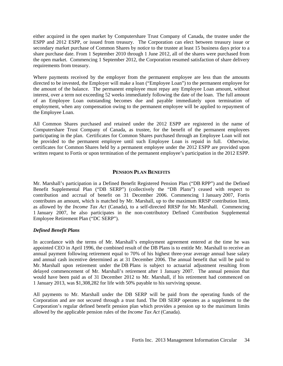either acquired in the open market by Computershare Trust Company of Canada, the trustee under the ESPP and 2012 ESPP, or issued from treasury. The Corporation can elect between treasury issue or secondary market purchase of Common Shares by notice to the trustee at least 15 business days prior to a share purchase date. From 1 September 2010 through 1 June 2012, all of the shares were purchased from the open market. Commencing 1 September 2012, the Corporation resumed satisfaction of share delivery requirements from treasury.

Where payments received by the employer from the permanent employee are less than the amounts directed to be invested, the Employer will make a loan ("Employee Loan") to the permanent employee for the amount of the balance. The permanent employee must repay any Employee Loan amount, without interest, over a term not exceeding 52 weeks immediately following the date of the loan. The full amount of an Employee Loan outstanding becomes due and payable immediately upon termination of employment, when any compensation owing to the permanent employee will be applied to repayment of the Employee Loan.

All Common Shares purchased and retained under the 2012 ESPP are registered in the name of Computershare Trust Company of Canada, as trustee, for the benefit of the permanent employees participating in the plan. Certificates for Common Shares purchased through an Employee Loan will not be provided to the permanent employee until such Employee Loan is repaid in full. Otherwise, certificates for Common Shares held by a permanent employee under the 2012 ESPP are provided upon written request to Fortis or upon termination of the permanent employee's participation in the 2012 ESPP.

#### **PENSION PLAN BENEFITS**

Mr. Marshall's participation in a Defined Benefit Registered Pension Plan ("DB RPP") and the Defined Benefit Supplemental Plan ("DB SERP") (collectively the "DB Plans") ceased with respect to contribution and accrual of benefit on 31 December 2006. Commencing 1 January 2007, Fortis contributes an amount, which is matched by Mr. Marshall, up to the maximum RRSP contribution limit, as allowed by the *Income Tax Act* (Canada), to a self-directed RRSP for Mr. Marshall. Commencing 1 January 2007, he also participates in the non-contributory Defined Contribution Supplemental Employee Retirement Plan ("DC SERP").

#### *Defined Benefit Plans*

In accordance with the terms of Mr. Marshall's employment agreement entered at the time he was appointed CEO in April 1996, the combined result of the DB Plans is to entitle Mr. Marshall to receive an annual payment following retirement equal to 70% of his highest three-year average annual base salary and annual cash incentive determined as at 31 December 2006. The annual benefit that will be paid to Mr. Marshall upon retirement under the DB Plans is subject to actuarial adjustment resulting from delayed commencement of Mr. Marshall's retirement after 1 January 2007. The annual pension that would have been paid as of 31 December 2012 to Mr. Marshall, if his retirement had commenced on 1 January 2013, was \$1,308,282 for life with 50% payable to his surviving spouse.

All payments to Mr. Marshall under the DB SERP will be paid from the operating funds of the Corporation and are not secured through a trust fund. The DB SERP operates as a supplement to the Corporation's regular defined benefit pension plan which provides a pension up to the maximum limits allowed by the applicable pension rules of the *Income Tax Act* (Canada).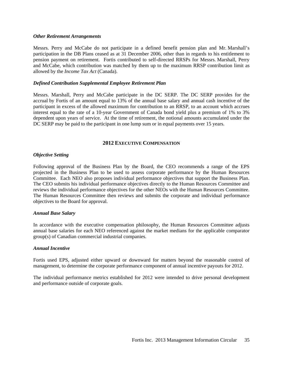#### *Other Retirement Arrangements*

Messrs. Perry and McCabe do not participate in a defined benefit pension plan and Mr. Marshall's participation in the DB Plans ceased as at 31 December 2006, other than in regards to his entitlement to pension payment on retirement. Fortis contributed to self-directed RRSPs for Messrs. Marshall, Perry and McCabe, which contribution was matched by them up to the maximum RRSP contribution limit as allowed by the *Income Tax Act* (Canada).

#### *Defined Contribution Supplemental Employee Retirement Plan*

Messrs. Marshall, Perry and McCabe participate in the DC SERP. The DC SERP provides for the accrual by Fortis of an amount equal to 13% of the annual base salary and annual cash incentive of the participant in excess of the allowed maximum for contribution to an RRSP, to an account which accrues interest equal to the rate of a 10-year Government of Canada bond yield plus a premium of 1% to 3% dependent upon years of service. At the time of retirement, the notional amounts accumulated under the DC SERP may be paid to the participant in one lump sum or in equal payments over 15 years.

#### **2012 EXECUTIVE COMPENSATION**

#### *Objective Setting*

Following approval of the Business Plan by the Board, the CEO recommends a range of the EPS projected in the Business Plan to be used to assess corporate performance by the Human Resources Committee. Each NEO also proposes individual performance objectives that support the Business Plan. The CEO submits his individual performance objectives directly to the Human Resources Committee and reviews the individual performance objectives for the other NEOs with the Human Resources Committee. The Human Resources Committee then reviews and submits the corporate and individual performance objectives to the Board for approval.

#### *Annual Base Salary*

In accordance with the executive compensation philosophy, the Human Resources Committee adjusts annual base salaries for each NEO referenced against the market medians for the applicable comparator group(s) of Canadian commercial industrial companies.

#### *Annual Incentive*

Fortis used EPS, adjusted either upward or downward for matters beyond the reasonable control of management, to determine the corporate performance component of annual incentive payouts for 2012.

The individual performance metrics established for 2012 were intended to drive personal development and performance outside of corporate goals.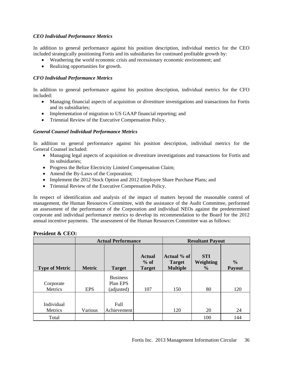#### *CEO Individual Performance Metrics*

In addition to general performance against his position description, individual metrics for the CEO included strategically positioning Fortis and its subsidiaries for continued profitable growth by:

- Weathering the world economic crisis and recessionary economic environment; and
- Realizing opportunities for growth.

#### *CFO Individual Performance Metrics*

In addition to general performance against his position description, individual metrics for the CFO included:

- Managing financial aspects of acquisition or divestiture investigations and transactions for Fortis and its subsidiaries;
- Implementation of migration to US GAAP financial reporting; and
- Triennial Review of the Executive Compensation Policy.

#### *General Counsel Individual Performance Metrics*

In addition to general performance against his position description, individual metrics for the General Counsel included:

- Managing legal aspects of acquisition or divestiture investigations and transactions for Fortis and its subsidiaries;
- Progress the Belize Electricity Limited Compensation Claim;
- Amend the By-Laws of the Corporation;
- Implement the 2012 Stock Option and 2012 Employee Share Purchase Plans; and
- Triennial Review of the Executive Compensation Policy.

In respect of identification and analysis of the impact of matters beyond the reasonable control of management, the Human Resources Committee, with the assistance of the Audit Committee, performed an assessment of the performance of the Corporation and individual NEOs against the predetermined corporate and individual performance metrics to develop its recommendation to the Board for the 2012 annual incentive payments. The assessment of the Human Resources Committee was as follows:

|                       |               | <b>Actual Performance</b>                 |                                          | <b>Resultant Payout</b>                         |                                          |                         |
|-----------------------|---------------|-------------------------------------------|------------------------------------------|-------------------------------------------------|------------------------------------------|-------------------------|
| <b>Type of Metric</b> | <b>Metric</b> | <b>Target</b>                             | <b>Actual</b><br>$%$ of<br><b>Target</b> | Actual % of<br><b>Target</b><br><b>Multiple</b> | <b>STI</b><br>Weighting<br>$\frac{6}{9}$ | $\frac{6}{6}$<br>Payout |
| Corporate<br>Metrics  | <b>EPS</b>    | <b>Business</b><br>Plan EPS<br>(adjusted) | 107                                      | 150                                             | 80                                       | 120                     |
| Individual<br>Metrics | Various       | Full<br>Achievement                       |                                          | 120                                             | 20                                       | 24                      |
| Total                 |               |                                           |                                          |                                                 | 100                                      | 144                     |

#### **President & CEO:**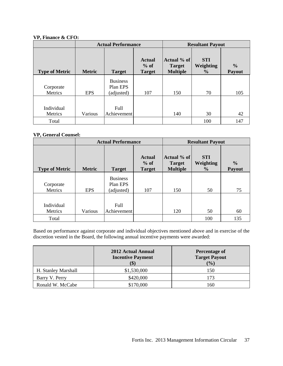#### **VP, Finance & CFO:**

|                       |               | <b>Actual Performance</b><br><b>Resultant Payout</b> |                                          |                                                 |                                          |                         |
|-----------------------|---------------|------------------------------------------------------|------------------------------------------|-------------------------------------------------|------------------------------------------|-------------------------|
| <b>Type of Metric</b> | <b>Metric</b> | <b>Target</b>                                        | <b>Actual</b><br>$%$ of<br><b>Target</b> | Actual % of<br><b>Target</b><br><b>Multiple</b> | <b>STI</b><br>Weighting<br>$\frac{6}{6}$ | $\frac{0}{0}$<br>Payout |
| Corporate<br>Metrics  | <b>EPS</b>    | <b>Business</b><br>Plan EPS<br>(adjusted)            | 107                                      | 150                                             | 70                                       | 105                     |
| Individual<br>Metrics | Various       | Full<br>Achievement                                  |                                          | 140                                             | 30                                       | 42                      |
| Total                 |               |                                                      |                                          |                                                 | 100                                      | 147                     |

#### **VP, General Counsel:**

|                       |               | <b>Actual Performance</b>                 |                                          |                                                 | <b>Resultant Payout</b>                  |                         |  |
|-----------------------|---------------|-------------------------------------------|------------------------------------------|-------------------------------------------------|------------------------------------------|-------------------------|--|
| <b>Type of Metric</b> | <b>Metric</b> | <b>Target</b>                             | <b>Actual</b><br>$%$ of<br><b>Target</b> | Actual % of<br><b>Target</b><br><b>Multiple</b> | <b>STI</b><br>Weighting<br>$\frac{6}{6}$ | $\frac{0}{0}$<br>Payout |  |
| Corporate<br>Metrics  | <b>EPS</b>    | <b>Business</b><br>Plan EPS<br>(adjusted) | 107                                      | 150                                             | 50                                       | 75                      |  |
| Individual<br>Metrics | Various       | Full<br>Achievement                       |                                          | 120                                             | 50                                       | 60                      |  |
| Total                 |               |                                           |                                          |                                                 | 100                                      | 135                     |  |

Based on performance against corporate and individual objectives mentioned above and in exercise of the discretion vested in the Board, the following annual incentive payments were awarded:

|                     | 2012 Actual Annual<br><b>Incentive Payment</b><br>$$^{\circ}$ | Percentage of<br><b>Target Payout</b><br>(9/0) |
|---------------------|---------------------------------------------------------------|------------------------------------------------|
| H. Stanley Marshall | \$1,530,000                                                   | 150                                            |
| Barry V. Perry      | \$420,000                                                     |                                                |
| Ronald W. McCabe    | \$170,000                                                     | 160                                            |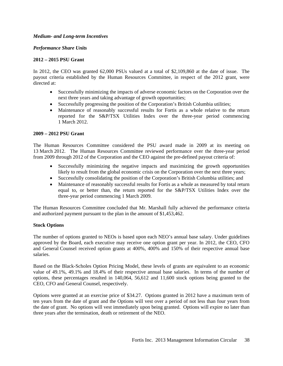#### *Medium- and Long-term Incentives*

#### *Performance Share Units*

#### **2012 – 2015 PSU Grant**

In 2012, the CEO was granted 62,000 PSUs valued at a total of \$2,109,860 at the date of issue. The payout criteria established by the Human Resources Committee, in respect of the 2012 grant, were directed at:

- Successfully minimizing the impacts of adverse economic factors on the Corporation over the next three years and taking advantage of growth opportunities;
- Successfully progressing the position of the Corporation's British Columbia utilities;
- Maintenance of reasonably successful results for Fortis as a whole relative to the return reported for the S&P/TSX Utilities Index over the three-year period commencing 1 March 2012.

#### **2009 – 2012 PSU Grant**

The Human Resources Committee considered the PSU award made in 2009 at its meeting on 13 March 2012. The Human Resources Committee reviewed performance over the three-year period from 2009 through 2012 of the Corporation and the CEO against the pre-defined payout criteria of:

- Successfully minimizing the negative impacts and maximizing the growth opportunities likely to result from the global economic crisis on the Corporation over the next three years;
- Successfully consolidating the position of the Corporation's British Columbia utilities; and
- Maintenance of reasonably successful results for Fortis as a whole as measured by total return equal to, or better than, the return reported for the S&P/TSX Utilities Index over the three-year period commencing 1 March 2009.

The Human Resources Committee concluded that Mr. Marshall fully achieved the performance criteria and authorized payment pursuant to the plan in the amount of \$1,453,462.

#### **Stock Options**

The number of options granted to NEOs is based upon each NEO's annual base salary. Under guidelines approved by the Board, each executive may receive one option grant per year. In 2012, the CEO, CFO and General Counsel received option grants at 400%, 400% and 150% of their respective annual base salaries.

Based on the Black-Scholes Option Pricing Model, these levels of grants are equivalent to an economic value of 49.1%, 49.1% and 18.4% of their respective annual base salaries. In terms of the number of options, these percentages resulted in 140,064, 56,612 and 11,600 stock options being granted to the CEO, CFO and General Counsel, respectively.

Options were granted at an exercise price of \$34.27. Options granted in 2012 have a maximum term of ten years from the date of grant and the Options will vest over a period of not less than four years from the date of grant. No options will vest immediately upon being granted. Options will expire no later than three years after the termination, death or retirement of the NEO.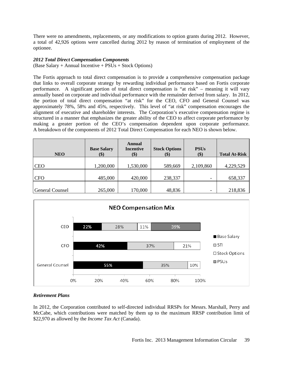There were no amendments, replacements, or any modifications to option grants during 2012. However, a total of 42,926 options were cancelled during 2012 by reason of termination of employment of the optionee.

#### *2012 Total Direct Compensation Components*

(Base Salary + Annual Incentive + PSUs + Stock Options)

The Fortis approach to total direct compensation is to provide a comprehensive compensation package that links to overall corporate strategy by rewarding individual performance based on Fortis corporate performance. A significant portion of total direct compensation is "at risk" – meaning it will vary annually based on corporate and individual performance with the remainder derived from salary. In 2012, the portion of total direct compensation "at risk" for the CEO, CFO and General Counsel was approximately 78%, 58% and 45%, respectively. This level of "at risk" compensation encourages the alignment of executive and shareholder interests. The Corporation's executive compensation regime is structured in a manner that emphasizes the greater ability of the CEO to affect corporate performance by making a greater portion of the CEO's compensation dependent upon corporate performance. A breakdown of the components of 2012 Total Direct Compensation for each NEO is shown below.

| <b>NEO</b>             | <b>Base Salary</b><br>\$) | Annual<br><b>Incentive</b><br>\$) | <b>Stock Options</b><br>\$) | <b>PSUs</b><br>\$)       | <b>Total At-Risk</b> |
|------------------------|---------------------------|-----------------------------------|-----------------------------|--------------------------|----------------------|
| <b>CEO</b>             | 1,200,000                 | 1,530,000                         | 589,669                     | 2,109,860                | 4,229,529            |
| <b>CFO</b>             | 485,000                   | 420,000                           | 238,337                     | $\overline{\phantom{0}}$ | 658,337              |
| <b>General Counsel</b> | 265,000                   | 170,000                           | 48,836                      | -                        | 218,836              |



#### *Retirement Plans*

In 2012, the Corporation contributed to self-directed individual RRSPs for Messrs. Marshall, Perry and McCabe, which contributions were matched by them up to the maximum RRSP contribution limit of \$22,970 as allowed by the *Income Tax Act* (Canada).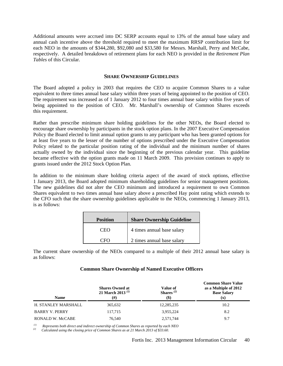Additional amounts were accrued into DC SERP accounts equal to 13% of the annual base salary and annual cash incentive above the threshold required to meet the maximum RRSP contribution limit for each NEO in the amounts of \$344,280, \$92,080 and \$33,580 for Messrs. Marshall, Perry and McCabe, respectively. A detailed breakdown of retirement plans for each NEO is provided in the *Retirement Plan Tables* of this Circular.

#### **SHARE OWNERSHIP GUIDELINES**

The Board adopted a policy in 2003 that requires the CEO to acquire Common Shares to a value equivalent to three times annual base salary within three years of being appointed to the position of CEO. The requirement was increased as of 1 January 2012 to four times annual base salary within five years of being appointed to the position of CEO. Mr. Marshall's ownership of Common Shares exceeds this requirement.

Rather than prescribe minimum share holding guidelines for the other NEOs, the Board elected to encourage share ownership by participants in the stock option plans. In the 2007 Executive Compensation Policy the Board elected to limit annual option grants to any participant who has been granted options for at least five years to the lesser of the number of options prescribed under the Executive Compensation Policy related to the particular position rating of the individual and the minimum number of shares actually owned by the individual since the beginning of the previous calendar year. This guideline became effective with the option grants made on 11 March 2009. This provision continues to apply to grants issued under the 2012 Stock Option Plan.

In addition to the minimum share holding criteria aspect of the award of stock options, effective 1 January 2013, the Board adopted minimum shareholding guidelines for senior management positions. The new guidelines did not alter the CEO minimum and introduced a requirement to own Common Shares equivalent to two times annual base salary above a prescribed Hay point rating which extends to the CFO such that the share ownership guidelines applicable to the NEOs, commencing 1 January 2013, is as follows:

| <b>Position</b> | <b>Share Ownership Guideline</b> |  |
|-----------------|----------------------------------|--|
| ± 'Hr           | 4 times annual base salary       |  |
|                 | 2 times annual base salary       |  |

The current share ownership of the NEOs compared to a multiple of their 2012 annual base salary is as follows:

|  |  | <b>Common Share Ownership of Named Executive Officers</b> |  |  |  |
|--|--|-----------------------------------------------------------|--|--|--|
|--|--|-----------------------------------------------------------|--|--|--|

| <b>Name</b>             | <b>Shares Owned at</b><br>21 March 2013 $^{(1)}$<br>(# ) | Value of<br>Shares <sup><math>(2)</math></sup><br>$($ \$) | <b>Common Share Value</b><br>as a Multiple of 2012<br><b>Base Salary</b><br>(x) |  |  |
|-------------------------|----------------------------------------------------------|-----------------------------------------------------------|---------------------------------------------------------------------------------|--|--|
| H. STANLEY MARSHALL     | 365,632                                                  | 12,285,235                                                | 10.2                                                                            |  |  |
| <b>BARRY V. PERRY</b>   | 117.715                                                  | 3,955,224                                                 | 8.2                                                                             |  |  |
| <b>RONALD W. McCABE</b> | 76,540                                                   | 2,571,744                                                 | 9.7                                                                             |  |  |

 *(1) Represents both direct and indirect ownership of Common Shares as reported by each NEO (2) Calculated using the closing price of Common Shares as at 21 March 2013 of \$33.60.*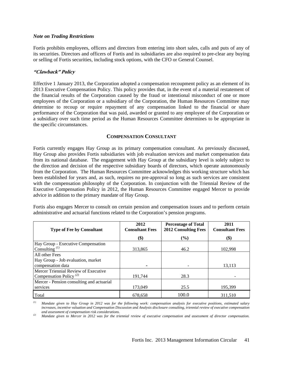#### *Note on Trading Restrictions*

Fortis prohibits employees, officers and directors from entering into short sales, calls and puts of any of its securities. Directors and officers of Fortis and its subsidiaries are also required to pre-clear any buying or selling of Fortis securities, including stock options, with the CFO or General Counsel.

#### **"Clawback" Policy**

Effective 1 January 2013, the Corporation adopted a compensation recoupment policy as an element of its 2013 Executive Compensation Policy. This policy provides that, in the event of a material restatement of the financial results of the Corporation caused by the fraud or intentional misconduct of one or more employees of the Corporation or a subsidiary of the Corporation, the Human Resources Committee may determine to recoup or require repayment of any compensation linked to the financial or share performance of the Corporation that was paid, awarded or granted to any employee of the Corporation or a subsidiary over such time period as the Human Resources Committee determines to be appropriate in the specific circumstances.

#### **COMPENSATION CONSULTANT**

Fortis currently engages Hay Group as its primary compensation consultant. As previously discussed, Hay Group also provides Fortis subsidiaries with job evaluation services and market compensation data from its national database. The engagement with Hay Group at the subsidiary level is solely subject to the direction and decision of the respective subsidiary boards of directors, which operate autonomously from the Corporation. The Human Resources Committee acknowledges this working structure which has been established for years and, as such, requires no pre-approval so long as such services are consistent with the compensation philosophy of the Corporation. In conjunction with the Triennial Review of the Executive Compensation Policy in 2012, the Human Resources Committee engaged Mercer to provide advice in addition to the primary mandate of Hay Group.

Fortis also engages Mercer to consult on certain pension and compensation issues and to perform certain administrative and actuarial functions related to the Corporation's pension programs.

| <b>Type of Fee by Consultant</b>                                           | 2012<br><b>Consultant Fees</b> | <b>Percentage of Total</b><br><b>2012 Consulting Fees</b> | 2011<br><b>Consultant Fees</b> |
|----------------------------------------------------------------------------|--------------------------------|-----------------------------------------------------------|--------------------------------|
|                                                                            | \$)                            | (%)                                                       | $\left( \text{\$}\right)$      |
| Hay Group - Executive Compensation<br>Consulting $^{(1)}$                  | 313.865                        | 46.2                                                      | 102,998                        |
| All other Fees<br>Hay Group - Job evaluation, market<br>compensation data  |                                |                                                           | 13,113                         |
| Mercer Triennial Review of Executive<br>Compensation Policy <sup>(2)</sup> | 191.744                        | 28.3                                                      |                                |
| Mercer - Pension consulting and actuarial<br>services                      | 173,049                        | 25.5                                                      | 195,399                        |
| Total                                                                      | 678.658                        | 100.0                                                     | 311.510                        |

*(1) Mandate given to Hay Group in 2012 was for the following work: compensation analysis for executive positions, estimated salary increases, incentive valuation and Compensation Discussion and Analysis disclosure consulting, triennial review of executive compensation and assessment of compensation risk considerations.*

*(2) Mandate given to Mercer in 2012 was for the triennial review of executive compensation and assessment of director compensation.*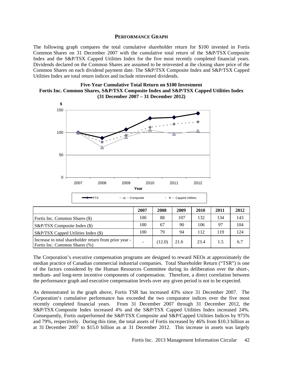#### **PERFORMANCE GRAPH**

The following graph compares the total cumulative shareholder return for \$100 invested in Fortis Common Shares on 31 December 2007 with the cumulative total return of the S&P/TSX Composite Index and the S&P/TSX Capped Utilities Index for the five most recently completed financial years. Dividends declared on the Common Shares are assumed to be reinvested at the closing share price of the Common Shares on each dividend payment date. The S&P/TSX Composite Index and S&P/TSX Capped Utilities Index are total return indices and include reinvested dividends.





The Corporation's executive compensation programs are designed to reward NEOs at approximately the median practice of Canadian commercial industrial companies. Total Shareholder Return ("TSR") is one of the factors considered by the Human Resources Committee during its deliberation over the short-, medium- and long-term incentive components of compensation. Therefore, a direct correlation between the performance graph and executive compensation levels over any given period is not to be expected.

As demonstrated in the graph above, Fortis TSR has increased 43% since 31 December 2007. The Corporation's cumulative performance has exceeded the two comparator indices over the five most recently completed financial years. From 31 December 2007 through 31 December 2012, the S&P/TSX Composite Index increased 4% and the S&P/TSX Capped Utilities Index increased 24%. Consequently, Fortis outperformed the S&P/TSX Composite and S&P/Capped Utilities Indices by 975% and 79%, respectively. During this time, the total assets of Fortis increased by 46% from \$10.3 billion as at 31 December 2007 to \$15.0 billion as at 31 December 2012. This increase in assets was largely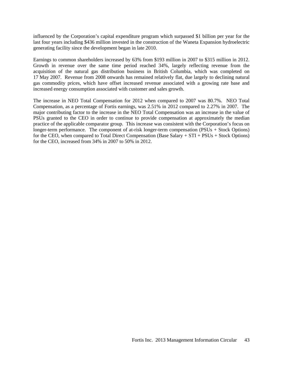influenced by the Corporation's capital expenditure program which surpassed \$1 billion per year for the last four years including \$436 million invested in the construction of the Waneta Expansion hydroelectric generating facility since the development began in late 2010.

Earnings to common shareholders increased by 63% from \$193 million in 2007 to \$315 million in 2012. Growth in revenue over the same time period reached 34%, largely reflecting revenue from the acquisition of the natural gas distribution business in British Columbia, which was completed on 17 May 2007. Revenue from 2008 onwards has remained relatively flat, due largely to declining natural gas commodity prices, which have offset increased revenue associated with a growing rate base and increased energy consumption associated with customer and sales growth.

The increase in NEO Total Compensation for 2012 when compared to 2007 was 80.7%. NEO Total Compensation, as a percentage of Fortis earnings, was 2.51% in 2012 compared to 2.27% in 2007. The major contributing factor to the increase in the NEO Total Compensation was an increase in the value of PSUs granted to the CEO in order to continue to provide compensation at approximately the median practice of the applicable comparator group. This increase was consistent with the Corporation's focus on longer-term performance. The component of at-risk longer-term compensation (PSUs + Stock Options) for the CEO, when compared to Total Direct Compensation (Base Salary + STI + PSUs + Stock Options) for the CEO, increased from 34% in 2007 to 50% in 2012.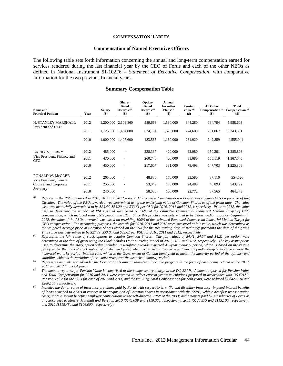#### **COMPENSATION TABLES**

#### **Compensation of Named Executive Officers**

The following table sets forth information concerning the annual and long-term compensation earned for services rendered during the last financial year by the CEO of Fortis and each of the other NEOs as defined in National Instrument 51-102F6 – *Statement of Executive Compensation*, with comparative information for the two previous financial years.

#### **Summary Compensation Table**

| Name and<br><b>Principal Position</b>              | Year | <b>Salary</b><br>$($ \$) | Share-<br><b>Based</b><br>Awards $(1)$<br>$($)$ | Option-<br><b>Based</b><br>Awards <sup>(2)</sup><br>$($)$ | Annual<br><b>Incentive</b><br>Plans $(3)$<br>$($)$ | <b>Pension</b><br>Value $(4)$<br>$($)$ | All Other<br>Compensation <sup>(5)</sup><br>$(\$)$ | <b>Total</b><br>Compensation <sup>(4)</sup><br>$($)$ |
|----------------------------------------------------|------|--------------------------|-------------------------------------------------|-----------------------------------------------------------|----------------------------------------------------|----------------------------------------|----------------------------------------------------|------------------------------------------------------|
| H. STANLEY MARSHALL<br>President and CEO           | 2012 | 1.200.000                | 2,109,860                                       | 589.669                                                   | 1,530,000                                          | 344,280                                | 184,794                                            | 5,958,603                                            |
|                                                    | 2011 | 1,125,000                | 1,494,000                                       | 624,134                                                   | 1,625,000                                          | 274,600                                | 201,067                                            | 5,343,801                                            |
|                                                    | 2010 | 1,000,000                | 1,407,600                                       | 483,565                                                   | 1,160,000                                          | 261,920                                | 242,859                                            | 4,555,944                                            |
| <b>BARRY V. PERRY</b>                              | 2012 | 485,000                  | ٠                                               | 238,337                                                   | 420,000                                            | 92,080                                 | 150,391                                            | 1,385,808                                            |
| Vice President, Finance and<br><b>CFO</b>          | 2011 | 470,000                  | $\overline{\phantom{a}}$                        | 260,746                                                   | 400,000                                            | 81,680                                 | 155,119                                            | 1,367,545                                            |
|                                                    | 2010 | 450,000                  | $\overline{\phantom{a}}$                        | 217,607                                                   | 331,000                                            | 79,498                                 | 147,703                                            | 1,225,808                                            |
| <b>RONALD W. McCABE</b><br>Vice President, General | 2012 | 265,000                  |                                                 | 48,836                                                    | 170,000                                            | 33,580                                 | 37,110                                             | 554,526                                              |
| Counsel and Corporate                              | 2011 | 255,000                  | $\overline{\phantom{a}}$                        | 53,049                                                    | 170,000                                            | 24,480                                 | 40,893                                             | 543,422                                              |
| Secretary                                          | 2010 | 240,000                  | ٠                                               | 58,036                                                    | 106,000                                            | 22,772                                 | 37,565                                             | 464,373                                              |

*(1) Represents the PSUs awarded in 2010, 2011 and 2012 – see 2012 Executive Compensation – Performance Share Units on page 38 of this Circular. The value of the PSUs awarded was determined using the underlying value of Common Shares as of the grant date. The value used was actuarially determined to be \$23.46, \$33.20 and \$33.61 per PSU for 2010, 2011 and 2012, respectively. Prior to 2012, the value used to determine the number of PSUs issued was based on 90% of the estimated Commercial Industrial Median Target of CEO compensation, which included salary, STI payout and LTI. Since this practice was determined to be below median practice, beginning in 2012, the value of the PSUs awarded was based on providing 100% of the estimated Expanded Commercial Industrial Median Target for CEO compensation. For accounting purposes, the awards for 2010, 2011 and 2012 were measured at fair value, which was determined as the weighted average price of Common Shares traded on the TSX for the five trading days immediately preceding the date of the grant.* 

- This value was determined to be \$27.39, \$33.04 and \$33.61 per PSU for 2010, 2011 and 2012, respectively.<br>Represents the fair value of stock options to acquire Common Shares. The fair values of \$4.41, \$4.57 and \$4.21 per op *determined at the date of grant using the Black-Scholes Option Pricing Model in 2010, 2011 and 2012, respectively. The key assumptions used to determine the stock option value included: a weighted average expected 4.5-year maturity period, which is based on the vesting policy under the current stock option plan; dividend yield, which is based on the average dividends paid/average share prices over the historical maturity period; interest rate, which is the Government of Canada bond yield to match the maturity period of the options; and*
- volatility, which is the variation of the share price over the historical maturity period.<br>Represents amounts earned under the Corporation's annual short-term incentive program in the form of cash bonus related to the 2010
- *2011 and 2012 financial years. (4) The amount reported for Pension Value is comprised of the compensatory charge in the DC SERP. Amounts reported for Pension Value and Total Compensation for 2010 and 2011 were restated to reflect current year's calculations prepared in accordance with US GAAP. Pension Value for the CEO for each of 2010 and 2011, and the resulting Total Compensation for both years, were reduced by \$423,918 and \$280,154, respectively. (5) Includes the dollar value of insurance premiums paid by Fortis with respect to term life and disability insurance; imputed interest benefits*
- *of loans provided to NEOs in respect of the acquisition of Common Shares in accordance with the ESPP; vehicle benefits; transportation costs; share discount benefits; employer contributions to the self-directed RRSP of the NEO; and amounts paid by subsidiaries of Fortis as directors' fees to Messrs. Marshall and Perry in 2010 (\$175,038 and \$110,060, respectively), 2011 (\$128,575 and \$113,100, respectively) and 2012 (\$118,484 and \$106,000, respectively).*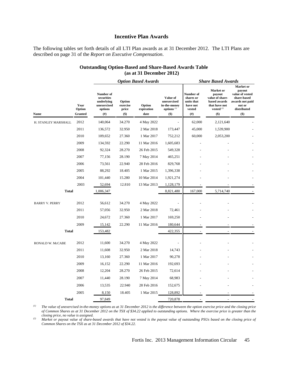#### **Incentive Plan Awards**

The following tables set forth details of all LTI Plan awards as at 31 December 2012. The LTI Plans are described on page 31 of the *Report on Executive Compensation*.

#### **Outstanding Option-Based and Share-Based Awards Table (as at 31 December 2012)**

|                       |                                  | <b>Option Based Awards</b>                                                   |                                    |                              | <b>Share Based Awards</b>                                         |                                                                        |                                                                                                |                                                                                                                   |
|-----------------------|----------------------------------|------------------------------------------------------------------------------|------------------------------------|------------------------------|-------------------------------------------------------------------|------------------------------------------------------------------------|------------------------------------------------------------------------------------------------|-------------------------------------------------------------------------------------------------------------------|
| Name                  | Year<br>Option<br><b>Granted</b> | Number of<br>securities<br>underlying<br>unexercised<br>options<br>$($ # $)$ | Option<br>exercise<br>price<br>\$) | Option<br>expiration<br>date | Value of<br>unexercised<br>in-the-money<br>options $(1)$<br>$($)$ | Number of<br>shares or<br>units that<br>have not<br>vested<br>$^{(#)}$ | Market or<br>payout<br>value of share-<br>based awards<br>that have not<br>vested $(2)$<br>\$) | <b>Market</b> or<br>payout<br>value of vested<br>share-based<br>awards not paid<br>out or<br>distributed<br>$($)$ |
| H. STANLEY MARSHALL   | 2012                             | 140,064                                                                      | 34.270                             | 4 May 2022                   |                                                                   | 62,000                                                                 | 2,121,640                                                                                      |                                                                                                                   |
|                       | 2011                             | 136,572                                                                      | 32.950                             | 2 Mar 2018                   | 173,447                                                           | 45,000                                                                 | 1,539,900                                                                                      |                                                                                                                   |
|                       | 2010                             | 109,652                                                                      | 27.360                             | 1 Mar 2017                   | 752,212                                                           | 60,000                                                                 | 2,053,200                                                                                      |                                                                                                                   |
|                       | 2009                             | 134,592                                                                      | 22.290                             | 11 Mar 2016                  | 1,605,683                                                         |                                                                        |                                                                                                |                                                                                                                   |
|                       | 2008                             | 92,324                                                                       | 28.270                             | 26 Feb 2015                  | 549,328                                                           |                                                                        |                                                                                                |                                                                                                                   |
|                       | 2007                             | 77,156                                                                       | 28.190                             | 7 May 2014                   | 465,251                                                           |                                                                        |                                                                                                |                                                                                                                   |
|                       | 2006                             | 73,561                                                                       | 22.940                             | 28 Feb 2016                  | 829,768                                                           |                                                                        |                                                                                                |                                                                                                                   |
|                       | 2005                             | 88,292                                                                       | 18.405                             | 1 Mar 2015                   | 1,396,338                                                         |                                                                        |                                                                                                |                                                                                                                   |
|                       | 2004                             | 101,440                                                                      | 15.280                             | 10 Mar 2014                  | 1,921,274                                                         |                                                                        |                                                                                                |                                                                                                                   |
|                       | 2003                             | 52,694                                                                       | 12.810                             | 13 Mar 2013                  | 1,128,179                                                         |                                                                        |                                                                                                |                                                                                                                   |
| <b>Total</b>          |                                  | 1,006,347                                                                    |                                    |                              | 8,821,480                                                         | 167,000                                                                | 5,714,740                                                                                      |                                                                                                                   |
| <b>BARRY V. PERRY</b> | 2012                             | 56,612                                                                       | 34.270                             | 4 May 2022                   |                                                                   |                                                                        |                                                                                                |                                                                                                                   |
|                       | 2011                             | 57,056                                                                       | 32.950                             | 2 Mar 2018                   | 72,461                                                            |                                                                        |                                                                                                |                                                                                                                   |
|                       | 2010                             | 24,672                                                                       | 27.360                             | 1 Mar 2017                   | 169,250                                                           |                                                                        |                                                                                                |                                                                                                                   |
|                       | 2009                             | 15,142                                                                       | 22.290                             | 11 Mar 2016                  | 180,644                                                           |                                                                        |                                                                                                |                                                                                                                   |
| <b>Total</b>          |                                  | 153,482                                                                      |                                    |                              | 422,355                                                           |                                                                        |                                                                                                |                                                                                                                   |
| RONALD W. McCABE      | 2012                             | 11,600                                                                       | 34.270                             | 4 May 2022                   |                                                                   |                                                                        |                                                                                                |                                                                                                                   |
|                       | 2011                             | 11,608                                                                       | 32.950                             | 2 Mar 2018                   | 14,743                                                            |                                                                        |                                                                                                |                                                                                                                   |
|                       | 2010                             | 13,160                                                                       | 27.360                             | 1 Mar 2017                   | 90,278                                                            |                                                                        |                                                                                                |                                                                                                                   |
|                       | 2009                             | 16,152                                                                       | 22.290                             | 11 Mar 2016                  | 192,693                                                           |                                                                        |                                                                                                |                                                                                                                   |
|                       | 2008                             | 12,204                                                                       | 28.270                             | 26 Feb 2015                  | 72,614                                                            |                                                                        |                                                                                                |                                                                                                                   |
|                       | 2007                             | 11,440                                                                       | 28.190                             | 7 May 2014                   | 68,983                                                            |                                                                        |                                                                                                |                                                                                                                   |
|                       | 2006                             | 13,535                                                                       | 22.940                             | 28 Feb 2016                  | 152,675                                                           |                                                                        |                                                                                                |                                                                                                                   |
|                       | 2005                             | 8,150                                                                        | 18.405                             | 1 Mar 2015                   | 128,892                                                           |                                                                        |                                                                                                |                                                                                                                   |
| <b>Total</b>          |                                  | 97,849                                                                       |                                    |                              | 720,878                                                           |                                                                        |                                                                                                |                                                                                                                   |

*(1) The value of unexercised in-the-money options as at 31 December 2012 is the difference between the option exercise price and the closing price of Common Shares as at 31 December 2012 on the TSX of \$34.22 applied to outstanding options. Where the exercise price is greater than the closing price, no value is assigned.*

*(2) Market or payout value of share-based awards that have not vested is the payout value of outstanding PSUs based on the closing price of Common Shares on the TSX as at 31 December 2012 of \$34.22.*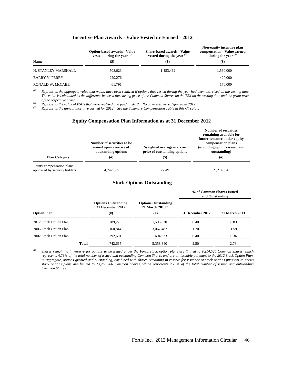#### **Incentive Plan Awards - Value Vested or Earned - 2012**

| <b>Name</b>             | <b>Option-based awards - Value</b><br>vested during the year $(1)$<br><b>(\$)</b> | <b>Share-based awards - Value</b><br>vested during the year $(2)$<br>$($ \$) | Non-equity incentive plan<br>compensation - Value earned<br>during the year $(3)$<br>$\left( \text{\$}\right)$ |  |  |
|-------------------------|-----------------------------------------------------------------------------------|------------------------------------------------------------------------------|----------------------------------------------------------------------------------------------------------------|--|--|
| H. STANLEY MARSHALL     | 508,023                                                                           | 1,453,462                                                                    | 1,530,000                                                                                                      |  |  |
| <b>BARRY V. PERRY</b>   | 229,276                                                                           | ۰                                                                            | 420,000                                                                                                        |  |  |
| <b>RONALD W. McCABE</b> | 61.791                                                                            | -                                                                            | 170,000                                                                                                        |  |  |

*(1) Represents the aggregate value that would have been realized if options that vested during the year had been exercised on the vesting date. The value is calculated as the difference between the closing price of the Common Shares on the TSX on the vesting date and the grant price* 

% of the respective grant.<br>
<sup>(2)</sup> Represents the value of PSUs that were realized and paid in 2012. No payments were deferred in 2012.<br>
<sup>(3)</sup> Represents the annual incentive earned for 2012. See the Summary Compensation T

#### **Equity Compensation Plan Information as at 31 December 2012**

| <b>Plan Category</b>                                      | Number of securities to be<br>issued upon exercise of<br>outstanding options<br>(#) | Weighted average exercise<br>price of outstanding options<br>$\left( \text{\$}\right)$ | $\sim$<br>remaining available for<br>future issuance under equity<br>compensation plans<br>(excluding options issued and<br>outstanding)<br>$^{(#)}$ |
|-----------------------------------------------------------|-------------------------------------------------------------------------------------|----------------------------------------------------------------------------------------|------------------------------------------------------------------------------------------------------------------------------------------------------|
| Equity compensation plans<br>approved by security holders | 4,742,665                                                                           | 27.49                                                                                  | 9,214,526                                                                                                                                            |

#### **Stock Options Outstanding**

|                        |                                                        |                                                         | % of Common Shares Issued<br>and Outstanding |                      |  |  |
|------------------------|--------------------------------------------------------|---------------------------------------------------------|----------------------------------------------|----------------------|--|--|
| <b>Option Plan</b>     | <b>Options Outstanding</b><br>31 December 2012<br>(# ) | <b>Options Outstanding</b><br>21 March 2013 $(1)$<br>#) | 31 December 2012                             | <b>21 March 2013</b> |  |  |
| 2012 Stock Option Plan | 789,220                                                | 1,596,820                                               | 0.40                                         | 0.83                 |  |  |
| 2006 Stock Option Plan | 3,160,844                                              | 3,067,487                                               | 1.70                                         | 1.59                 |  |  |
| 2002 Stock Option Plan | 792,601                                                | 694.033                                                 | 0.40                                         | 0.36                 |  |  |
| <b>Total</b>           | 4,742,665                                              | 5,358,340                                               | 2.50                                         | 2.78                 |  |  |

*(1) Shares remaining in reserve for options to be issued under the Fortis stock option plans are limited to 9,214,526 Common Shares, which represents* 4.79*% of the total number of issued and outstanding Common Shares and are all issuable pursuant to the 2012 Stock Option Plan. In aggregate, options granted and outstanding, combined with shares remaining in reserve for issuance of stock options pursuant to Fortis stock options plans are limited to 13,765,266 Common Shares, which represents 7.15% of the total number of issued and outstanding Common Shares.* 

**Number of securities**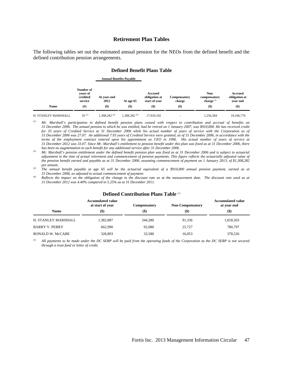#### **Retirement Plan Tables**

The following tables set out the estimated annual pension for the NEOs from the defined benefit and the defined contribution pension arrangements.

#### **Defined Benefit Plans Table**

 **Annual Benefits Payable** 

| <b>Name</b>         | Number of<br>vears of<br>credited<br>service<br>(# | At year-end<br>2012<br>$($ \$ | At age 65<br>$($ \$ | Accrued<br>obligation at<br>start of year<br>$($ \$ | <b>Compensatory</b><br>charge<br>$($ \$ | Non-<br>compensatory<br>charge $(4)$<br>$($ \$) | Accrued<br>obligation at<br>vear end<br>$($ \$ |
|---------------------|----------------------------------------------------|-------------------------------|---------------------|-----------------------------------------------------|-----------------------------------------|-------------------------------------------------|------------------------------------------------|
| H. STANLEY MARSHALL | $35^{(1)}$                                         | $.308.282^{(2)}$              | $.308.282^{(3)}$    | 17.910.192                                          |                                         | 1.256.584                                       | 19.166.776                                     |

*(1) Mr. Marshall's participation in defined benefit pension plans ceased with respect to contribution and accrual of benefits on 31 December 2006. The annual pension to which he was entitled, had he retired on 1 January 2007, was \$910,000. He has received credit*  for 35 years of Credited Service at 31 December 2006 while his actual number of years of service with the Corporation as of *31 December 2006 was 27.07. An additional 7.93 years of Credited Service were granted, as of 31 December 2006, in accordance with the terms of the employment contract entered upon his appointment as CEO in 1996. His actual number of years of service at 31 December 2012 was 33.07. Since Mr. Marshall's entitlement to pension benefit under this plan was fixed as at 31 December 2006, there* 

 $^{(2)}$  Mr. Marshall's pension entitlement under the defined benefit pension plan was fixed as at 31 December 2006 and is subject to actuarial *adjustment to the time of actual retirement and commencement of pension payments. This figure reflects the actuarially adjusted value of the pension benefit earned and payable as at 31 December 2006, assuming commencement of payment on 1 January 2013, of \$1,308,282* 

<sup>(3)</sup> *The annual benefit payable at age 65 will be the actuarial equivalent of a \$910,000 annual pension payment, earned as at 31 December 2006, as adjusted to actual commencement of payment.* 

*Reflects the impact on the obligation of the change in the discount rate as at the measurement date. The discount rate used as at 31 December 2012 was 4.40% compared to 5.25% as at 31 December 2011.* 

|                         | <b>Accumulated value</b><br>at start of year | <b>Compensatory</b> | <b>Non-Compensatory</b> | Accumulated value<br>at year end |
|-------------------------|----------------------------------------------|---------------------|-------------------------|----------------------------------|
| <b>Name</b>             | $\left( \mathbb{S}\right)$                   | $($ \$)             | (\$)                    | $($ \$)                          |
| H. STANLEY MARSHALL     | 1,382,887                                    | 344,280             | 91.336                  | 1,818,503                        |
| <b>BARRY V. PERRY</b>   | 662,990                                      | 92,080              | 25.727                  | 780,797                          |
| <b>RONALD W. McCABE</b> | 328,893                                      | 33,580              | 16,053                  | 378,526                          |

#### **Defined Contribution Plans Table** *(1)*

*(1) All payments to be made under the DC SERP will be paid from the operating funds of the Corporation as the DC SERP is not secured through a trust fund or letter of credit.*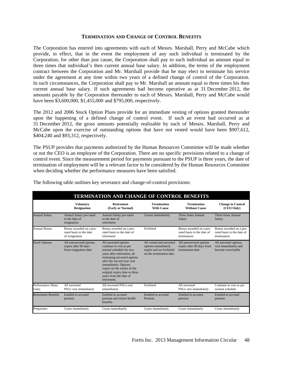#### **TERMINATION AND CHANGE OF CONTROL BENEFITS**

The Corporation has entered into agreements with each of Messrs. Marshall, Perry and McCabe which provide, in effect, that in the event the employment of any such individual is terminated by the Corporation, for other than just cause, the Corporation shall pay to such individual an amount equal to three times that individual's then current annual base salary. In addition, the terms of the employment contract between the Corporation and Mr. Marshall provide that he may elect to terminate his service under the agreement at any time within two years of a defined change of control of the Corporation. In such circumstances, the Corporation shall pay to Mr. Marshall an amount equal to three times his then current annual base salary. If such agreements had become operative as at 31 December 2012, the amounts payable by the Corporation thereunder to each of Messrs. Marshall, Perry and McCabe would have been \$3,600,000, \$1,455,000 and \$795,000, respectively.

The 2012 and 2006 Stock Option Plans provide for an immediate vesting of options granted thereunder upon the happening of a defined change of control event. If such an event had occurred as at 31 December 2012, the gross amounts potentially realizable by each of Messrs. Marshall, Perry and McCabe upon the exercise of outstanding options that have not vested would have been \$907,612, \$404,240 and \$93,312, respectively.

The PSUP provides that payments authorized by the Human Resources Committee will be made whether or not the CEO is an employee of the Corporation. There are no specific provisions related to a change of control event. Since the measurement period for payments pursuant to the PSUP is three years, the date of termination of employment will be a relevant factor to be considered by the Human Resources Committee when deciding whether the performance measures have been satisfied.

| <b>TERMINATION AND CHANGE OF CONTROL BENEFITS</b> |                                                                          |                                                                                                                                                                                                                                                                                                         |                                                                                                       |                                                                          |                                                                      |
|---------------------------------------------------|--------------------------------------------------------------------------|---------------------------------------------------------------------------------------------------------------------------------------------------------------------------------------------------------------------------------------------------------------------------------------------------------|-------------------------------------------------------------------------------------------------------|--------------------------------------------------------------------------|----------------------------------------------------------------------|
|                                                   | <b>Voluntary</b><br><b>Resignation</b>                                   | <b>Retirement</b><br>(Early or Normal)                                                                                                                                                                                                                                                                  | <b>Termination</b><br><b>With Cause</b>                                                               | <b>Termination</b><br><b>Without Cause</b>                               | <b>Change in Control</b><br>(CEO Only)                               |
| <b>Annual Salary</b>                              | Annual Salary pro-rated<br>to the date of<br>resignation                 | Annual Salary pro-rated<br>to the date of<br>retirement                                                                                                                                                                                                                                                 | Ceases immediately                                                                                    | Three times Annual<br>Salary                                             | Three times Annual<br>Salary                                         |
| <b>Annual Bonus</b>                               | Bonus awarded on a pro-<br>rated basis to the date<br>of resignation     | Bonus awarded on a pro-<br>rated basis to the date of<br>retirement                                                                                                                                                                                                                                     | Forfeited                                                                                             | Bonus awarded on a pro-<br>rated basis to the date of<br>termination     | Bonus awarded on a pro-<br>rated basis to the date of<br>termination |
| <b>Stock Options</b>                              | All unexercised options<br>expire after 90 days<br>from resignation date | All unvested options<br>continue to vest as per<br>normal schedule for two<br>years after retirement; all<br>remaining unvested options<br>after the second year vest<br>immediately. Options<br>expire on the earlier of the<br>original expiry date or three<br>years from the date of<br>retirement. | All vested and unvested<br>options immediately<br>expire and are forfeited<br>on the termination date | All unexercised options<br>expire after 90 days from<br>termination date | All unvested options<br>vest immediately and<br>become exercisable   |
| Performance Share<br>Units                        | All unvested<br>PSUs vest immediately                                    | All unvested PSUs vest<br>immediately                                                                                                                                                                                                                                                                   | Forfeited                                                                                             | All unvested<br>PSUs vest immediately                                    | Continue to vest as per<br>normal schedule                           |
| <b>Retirement Benefits</b>                        | Entitled to accrued<br>pension                                           | Entitled to accrued<br>pension and retiree health<br>benefits                                                                                                                                                                                                                                           | Entitled to accrued<br>Pension                                                                        | Entitled to accrued<br>pension                                           | Entitled to accrued<br>pension                                       |
| Perquisites                                       | Cease immediately                                                        | Cease immediately                                                                                                                                                                                                                                                                                       | Cease immediately                                                                                     | Cease immediately                                                        | Cease immediately                                                    |

The following table outlines key severance and change-of-control provisions: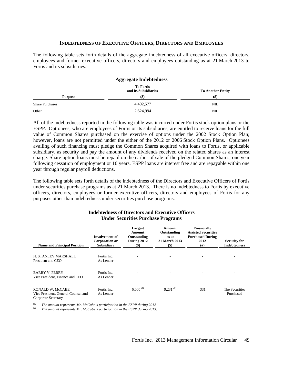#### **INDEBTEDNESS OF EXECUTIVE OFFICERS, DIRECTORS AND EMPLOYEES**

The following table sets forth details of the aggregate indebtedness of all executive officers, directors, employees and former executive officers, directors and employees outstanding as at 21 March 2013 to Fortis and its subsidiaries.

#### **Aggregate Indebtedness To Fortis and its Subsidiaries To Another Entity Purpose (\$) (\$)**  Share Purchases and the state of the state of the state of the state of the state of the state of the state of the state of the state of the state of the state of the state of the state of the state of the state of the sta Other 2,624,994 NIL

All of the indebtedness reported in the following table was incurred under Fortis stock option plans or the ESPP. Optionees, who are employees of Fortis or its subsidiaries, are entitled to receive loans for the full value of Common Shares purchased on the exercise of options under the 2002 Stock Option Plan; however, loans are not permitted under the either of the 2012 or 2006 Stock Option Plans. Optionees availing of such financing must pledge the Common Shares acquired with loans to Fortis, or applicable subsidiary, as security and pay the amount of any dividends received on the related shares as an interest charge. Share option loans must be repaid on the earlier of sale of the pledged Common Shares, one year following cessation of employment or 10 years. ESPP loans are interest free and are repayable within one year through regular payroll deductions.

The following table sets forth details of the indebtedness of the Directors and Executive Officers of Fortis under securities purchase programs as at 21 March 2013. There is no indebtedness to Fortis by executive officers, directors, employees or former executive officers, directors and employees of Fortis for any purposes other than indebtedness under securities purchase programs.

| <b>Name and Principal Position</b>                                             | <b>Involvement of</b><br>Corporation or<br><b>Subsidiary</b> | Largest<br>Amount<br>Outstanding<br>During 2012<br>$(\$)$ | Amount<br>Outstanding<br>as at<br><b>21 March 2013</b><br>$(\$)$ | Financially<br><b>Assisted Securities</b><br><b>Purchased During</b><br>2012<br>(# ) | <b>Security for</b><br><b>Indebtedness</b> |
|--------------------------------------------------------------------------------|--------------------------------------------------------------|-----------------------------------------------------------|------------------------------------------------------------------|--------------------------------------------------------------------------------------|--------------------------------------------|
| H. STANLEY MARSHALL<br>President and CEO                                       | Fortis Inc.<br>As Lender                                     |                                                           |                                                                  |                                                                                      |                                            |
| <b>BARRY V. PERRY</b><br>Vice President, Finance and CFO                       | Fortis Inc.<br>As Lender                                     |                                                           |                                                                  |                                                                                      |                                            |
| RONALD W. McCABE<br>Vice President, General Counsel and<br>Corporate Secretary | Fortis Inc.<br>As Lender                                     | $6,000^{(1)}$                                             | $9,231^{(2)}$                                                    | 331                                                                                  | The Securities<br>Purchased                |

#### **Indebtedness of Directors and Executive Officers Under Securities Purchase Programs**

*(1) The amount represents Mr. McCabe's participation in the ESPP during 2012 (2) The amount represents Mr. McCabe's participation in the ESPP during 2013.*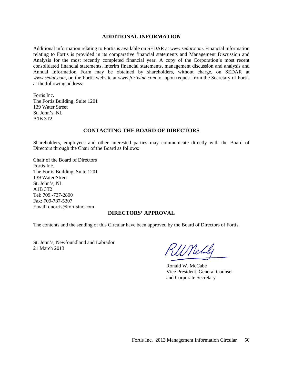#### **ADDITIONAL INFORMATION**

Additional information relating to Fortis is available on SEDAR at *www.sedar.com*. Financial information relating to Fortis is provided in its comparative financial statements and Management Discussion and Analysis for the most recently completed financial year. A copy of the Corporation's most recent consolidated financial statements, interim financial statements, management discussion and analysis and Annual Information Form may be obtained by shareholders, without charge, on SEDAR at *www.sedar.com*, on the Fortis website at *www.fortisinc.com*, or upon request from the Secretary of Fortis at the following address:

Fortis Inc. The Fortis Building, Suite 1201 139 Water Street St. John's, NL A1B 3T2

#### **CONTACTING THE BOARD OF DIRECTORS**

Shareholders, employees and other interested parties may communicate directly with the Board of Directors through the Chair of the Board as follows:

Chair of the Board of Directors Fortis Inc. The Fortis Building, Suite 1201 139 Water Street St. John's, NL A1B 3T2 Tel: 709 -737-2800 Fax: 709-737-5307 Email: dnorris@fortisinc.com

#### **DIRECTORS' APPROVAL**

The contents and the sending of this Circular have been approved by the Board of Directors of Fortis.

St. John's, Newfoundland and Labrador 21 March 2013

WNchy

 Ronald W. McCabe Vice President, General Counsel and Corporate Secretary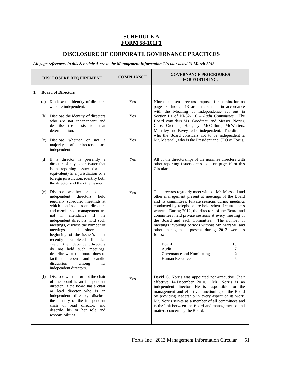#### **SCHEDULE A FORM 58-101F1**

#### **DISCLOSURE OF CORPORATE GOVERNANCE PRACTICES**

*All page references in this Schedule A are to the Management Information Circular dated 21 March 2013.* 

| <b>DISCLOSURE REQUIREMENT</b>                                                                                                                                                                                                                                                                                                                                                                                                                                                                                                                                                              | <b>COMPLIANCE</b> | <b>GOVERNANCE PROCEDURES</b><br><b>FOR FORTIS INC.</b>                                                                                                                                                                                                                                                                                                                                                                                                                                                                                                                                                                         |
|--------------------------------------------------------------------------------------------------------------------------------------------------------------------------------------------------------------------------------------------------------------------------------------------------------------------------------------------------------------------------------------------------------------------------------------------------------------------------------------------------------------------------------------------------------------------------------------------|-------------------|--------------------------------------------------------------------------------------------------------------------------------------------------------------------------------------------------------------------------------------------------------------------------------------------------------------------------------------------------------------------------------------------------------------------------------------------------------------------------------------------------------------------------------------------------------------------------------------------------------------------------------|
| <b>Board of Directors</b><br>1.                                                                                                                                                                                                                                                                                                                                                                                                                                                                                                                                                            |                   |                                                                                                                                                                                                                                                                                                                                                                                                                                                                                                                                                                                                                                |
| (a) Disclose the identity of directors<br>who are independent.                                                                                                                                                                                                                                                                                                                                                                                                                                                                                                                             | Yes               | Nine of the ten directors proposed for nomination on<br>pages 8 through 13 are independent in accordance                                                                                                                                                                                                                                                                                                                                                                                                                                                                                                                       |
| (b) Disclose the identity of directors<br>who are not independent and<br>describe the basis for that<br>determination.                                                                                                                                                                                                                                                                                                                                                                                                                                                                     | Yes               | with the Meaning of Independence set out in<br>Section 1.4 of NI-52-110 - Audit Committees. The<br>Board considers Ms. Goodreau and Messrs. Norris,<br>Case, Crothers, Haughey, McCallum, McWatters,<br>Munkley and Pavey to be independent. The director<br>who the Board considers not to be independent is                                                                                                                                                                                                                                                                                                                  |
| (c) Disclose whether or not a<br>of<br>majority<br>directors<br>are<br>independent.                                                                                                                                                                                                                                                                                                                                                                                                                                                                                                        | Yes               | Mr. Marshall, who is the President and CEO of Fortis.                                                                                                                                                                                                                                                                                                                                                                                                                                                                                                                                                                          |
| (d) If a director is presently a<br>director of any other issuer that<br>is a reporting issuer (or the<br>equivalent) in a jurisdiction or a<br>foreign jurisdiction, identify both<br>the director and the other issuer.                                                                                                                                                                                                                                                                                                                                                                  | Yes               | All of the directorships of the nominee directors with<br>other reporting issuers are set out on page 19 of this<br>Circular.                                                                                                                                                                                                                                                                                                                                                                                                                                                                                                  |
| (e) Disclose whether or not the<br>independent<br>directors<br>hold<br>regularly scheduled meetings at<br>which non-independent directors<br>and members of management are<br>not in attendance. If the<br>independent directors hold such<br>meetings, disclose the number of<br>meetings<br>held<br>since<br>the<br>beginning of the issuer's most<br>recently completed financial<br>year. If the independent directors<br>do not hold such meetings,<br>describe what the board does to<br>candid<br>facilitate<br>open<br>and<br>discussion<br>among<br>its<br>independent directors. | Yes               | The directors regularly meet without Mr. Marshall and<br>other management present at meetings of the Board<br>and its committees. Private sessions during meetings<br>conducted by telephone are held when circumstances<br>warrant. During 2012, the directors of the Board and<br>committees held private sessions at every meeting of<br>the Board and each Committee. The number of<br>meetings involving periods without Mr. Marshall and<br>other management present during 2012 were as<br>follows:<br>10<br>Board<br>Audit<br>7<br>$\overline{\mathbf{c}}$<br>Governance and Nominating<br>5<br><b>Human Resources</b> |
| (f) Disclose whether or not the chair<br>of the board is an independent<br>director. If the board has a chair<br>or lead director who is an<br>independent director, disclose<br>the identity of the independent<br>chair or lead director, and<br>describe his or her role and<br>responsibilities.                                                                                                                                                                                                                                                                                       | Yes               | David G. Norris was appointed non-executive Chair<br>effective 14 December 2010.<br>Mr. Norris is an<br>independent director. He is responsible for the<br>management and effective functioning of the Board<br>by providing leadership in every aspect of its work.<br>Mr. Norris serves as a member of all committees and<br>is the link between the Board and management on all<br>matters concerning the Board.                                                                                                                                                                                                            |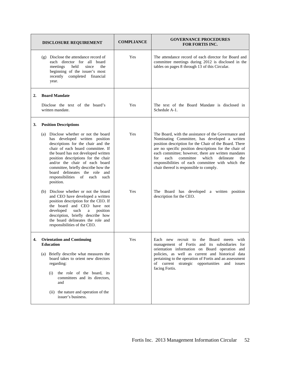|    | <b>DISCLOSURE REQUIREMENT</b>                                                                                                                                                                                                                                                                                                                                                                  | <b>COMPLIANCE</b> | <b>GOVERNANCE PROCEDURES</b><br><b>FOR FORTIS INC.</b>                                                                                                                                                                                                                                                                                                                                                                                    |
|----|------------------------------------------------------------------------------------------------------------------------------------------------------------------------------------------------------------------------------------------------------------------------------------------------------------------------------------------------------------------------------------------------|-------------------|-------------------------------------------------------------------------------------------------------------------------------------------------------------------------------------------------------------------------------------------------------------------------------------------------------------------------------------------------------------------------------------------------------------------------------------------|
|    | (g) Disclose the attendance record of<br>each director for all board<br>meetings<br>held<br>since<br>the<br>beginning of the issuer's most<br>completed<br>recently<br>financial<br>year.                                                                                                                                                                                                      | Yes               | The attendance record of each director for Board and<br>committee meetings during 2012 is disclosed in the<br>tables on pages 8 through 13 of this Circular.                                                                                                                                                                                                                                                                              |
| 2. | <b>Board Mandate</b>                                                                                                                                                                                                                                                                                                                                                                           |                   |                                                                                                                                                                                                                                                                                                                                                                                                                                           |
|    | Disclose the text of the board's<br>written mandate.                                                                                                                                                                                                                                                                                                                                           | Yes               | The text of the Board Mandate is disclosed in<br>Schedule A-1.                                                                                                                                                                                                                                                                                                                                                                            |
| 3. | <b>Position Descriptions</b>                                                                                                                                                                                                                                                                                                                                                                   |                   |                                                                                                                                                                                                                                                                                                                                                                                                                                           |
|    | Disclose whether or not the board<br>(a)<br>has developed written position<br>descriptions for the chair and the<br>chair of each board committee. If<br>the board has not developed written<br>position descriptions for the chair<br>and/or the chair of each board<br>committee, briefly describe how the<br>board delineates the role and<br>responsibilities of each<br>such<br>position. | Yes               | The Board, with the assistance of the Governance and<br>Nominating Committee, has developed a written<br>position description for the Chair of the Board. There<br>are no specific position descriptions for the chair of<br>each committee; however, there are written mandates<br>committee<br>which<br>delineate<br>for<br>each<br>the<br>responsibilities of each committee with which the<br>chair thereof is responsible to comply. |
|    | Disclose whether or not the board<br>(b)<br>and CEO have developed a written<br>position description for the CEO. If<br>the board and CEO have not<br>such<br>developed<br>$\mathbf{a}$<br>position<br>description, briefly describe how<br>the board delineates the role and<br>responsibilities of the CEO.                                                                                  | Yes               | The Board has developed a written position<br>description for the CEO.                                                                                                                                                                                                                                                                                                                                                                    |
| 4. | <b>Orientation and Continuing</b><br><b>Education</b>                                                                                                                                                                                                                                                                                                                                          | Yes               | Each new recruit to the Board meets with<br>management of Fortis and its subsidiaries for                                                                                                                                                                                                                                                                                                                                                 |
|    | (a) Briefly describe what measures the<br>board takes to orient new directors<br>regarding:<br>the role of the board, its<br>(i)<br>committees and its directors,<br>and                                                                                                                                                                                                                       |                   | orientation information on Board operation and<br>policies, as well as current and historical data<br>pertaining to the operation of Fortis and an assessment<br>of current strategic opportunities and issues<br>facing Fortis.                                                                                                                                                                                                          |
|    | (ii) the nature and operation of the<br>issuer's business.                                                                                                                                                                                                                                                                                                                                     |                   |                                                                                                                                                                                                                                                                                                                                                                                                                                           |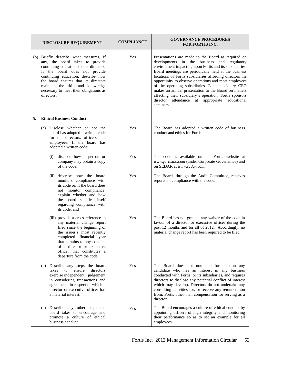|    | <b>DISCLOSURE REQUIREMENT</b>                                                                                                                                                                                                                                                                                                   | <b>COMPLIANCE</b> | <b>GOVERNANCE PROCEDURES</b><br><b>FOR FORTIS INC.</b>                                                                                                                                                                                                                                                                                                                                                                                                                                                                                                                              |
|----|---------------------------------------------------------------------------------------------------------------------------------------------------------------------------------------------------------------------------------------------------------------------------------------------------------------------------------|-------------------|-------------------------------------------------------------------------------------------------------------------------------------------------------------------------------------------------------------------------------------------------------------------------------------------------------------------------------------------------------------------------------------------------------------------------------------------------------------------------------------------------------------------------------------------------------------------------------------|
|    | (b) Briefly describe what measures, if<br>any, the board takes to provide<br>continuing education for its directors.<br>If the board does not provide<br>continuing education, describe how<br>the board ensures that its directors<br>maintain the skill and knowledge<br>necessary to meet their obligations as<br>directors. | Yes               | Presentations are made to the Board as required on<br>developments in the business and regulatory<br>environment impacting upon Fortis and its subsidiaries.<br>Board meetings are periodically held at the business<br>locations of Fortis subsidiaries affording directors the<br>opportunity to observe operations and meet employees<br>of the operating subsidiaries. Each subsidiary CEO<br>makes an annual presentation to the Board on matters<br>affecting their subsidiary's operation. Fortis sponsors<br>director<br>attendance at appropriate educational<br>seminars. |
| 5. | <b>Ethical Business Conduct</b>                                                                                                                                                                                                                                                                                                 |                   |                                                                                                                                                                                                                                                                                                                                                                                                                                                                                                                                                                                     |
|    | Disclose whether or not the<br>(a)<br>board has adopted a written code<br>for the directors, officers and<br>employees. If the board has<br>adopted a written code:                                                                                                                                                             | Yes               | The Board has adopted a written code of business<br>conduct and ethics for Fortis.                                                                                                                                                                                                                                                                                                                                                                                                                                                                                                  |
|    | disclose how a person or<br>(i)<br>company may obtain a copy<br>of the code;                                                                                                                                                                                                                                                    | Yes               | The code is available on the Fortis website at<br>www.fortisinc.com (under Corporate Governance) and<br>on SEDAR at www.sedar.com.                                                                                                                                                                                                                                                                                                                                                                                                                                                  |
|    | (ii) describe how the board<br>monitors compliance with<br>its code or, if the board does<br>not monitor compliance,<br>explain whether and how<br>the board satisfies itself<br>regarding compliance with<br>its code; and                                                                                                     | Yes               | The Board, through the Audit Committee, receives<br>reports on compliance with the code.                                                                                                                                                                                                                                                                                                                                                                                                                                                                                            |
|    | (iii) provide a cross reference to<br>any material change report<br>filed since the beginning of<br>the issuer's most recently<br>completed financial year<br>that pertains to any conduct<br>of a director or executive<br>officer that constitutes a<br>departure from the code.                                              | Yes               | The Board has not granted any waiver of the code in<br>favour of a director or executive officer during the<br>past 12 months and for all of 2012. Accordingly, no<br>material change report has been required to be filed.                                                                                                                                                                                                                                                                                                                                                         |
|    | (b) Describe any steps the board<br>takes<br>ensure<br>directors<br>to<br>exercise independent judgement<br>in considering transactions and<br>agreements in respect of which a<br>director or executive officer has<br>a material interest.                                                                                    | Yes               | The Board does not nominate for election any<br>candidate who has an interest in any business<br>conducted with Fortis, or its subsidiaries, and requires<br>directors to disclose any potential conflict of interest<br>which may develop. Directors do not undertake any<br>consulting activities for, or receive any remuneration<br>from, Fortis other than compensation for serving as a<br>director.                                                                                                                                                                          |
|    | (c) Describe any other steps the<br>board takes to encourage and<br>promote a culture of ethical<br>business conduct.                                                                                                                                                                                                           | Yes               | The Board encourages a culture of ethical conduct by<br>appointing officers of high integrity and monitoring<br>their performance so as to set an example for all<br>employees.                                                                                                                                                                                                                                                                                                                                                                                                     |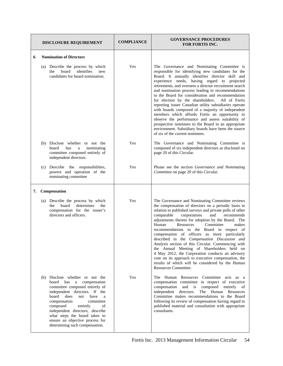| <b>DISCLOSURE REQUIREMENT</b> |                                                                                                                                                                                                                                                                                                                                                                            | <b>COMPLIANCE</b> | <b>GOVERNANCE PROCEDURES</b><br><b>FOR FORTIS INC.</b>                                                                                                                                                                                                                                                                                                                                                                                                                                                                                                                                                                                                                                                                                                                                                 |
|-------------------------------|----------------------------------------------------------------------------------------------------------------------------------------------------------------------------------------------------------------------------------------------------------------------------------------------------------------------------------------------------------------------------|-------------------|--------------------------------------------------------------------------------------------------------------------------------------------------------------------------------------------------------------------------------------------------------------------------------------------------------------------------------------------------------------------------------------------------------------------------------------------------------------------------------------------------------------------------------------------------------------------------------------------------------------------------------------------------------------------------------------------------------------------------------------------------------------------------------------------------------|
| 6.                            | <b>Nomination of Directors</b>                                                                                                                                                                                                                                                                                                                                             |                   |                                                                                                                                                                                                                                                                                                                                                                                                                                                                                                                                                                                                                                                                                                                                                                                                        |
|                               | (a) Describe the process by which<br>identifies<br>board<br>the<br>new<br>candidates for board nomination.                                                                                                                                                                                                                                                                 | Yes               | The Governance and Nominating Committee is<br>responsible for identifying new candidates for the<br>Board. It annually identifies director skill and<br>experience needs, having regard to projected<br>retirements, and oversees a director recruitment search<br>and nomination process leading to recommendations<br>to the Board for consideration and recommendation<br>for election by the shareholders.<br>All of Fortis<br>reporting issuer Canadian utility subsidiaries operate<br>with boards composed of a majority of independent<br>members which affords Fortis an opportunity to<br>observe the performance and assess suitability of<br>prospective nominees to the Board in an appropriate<br>environment. Subsidiary boards have been the source<br>of six of the current nominees. |
|                               | (b) Disclose whether or not the<br>board<br>has<br>nominating<br>a<br>committee composed entirely of<br>independent directors.                                                                                                                                                                                                                                             | Yes               | The Governance and Nominating Committee is<br>composed of six independent directors as disclosed on<br>page 20 of this Circular.                                                                                                                                                                                                                                                                                                                                                                                                                                                                                                                                                                                                                                                                       |
|                               | Describe the responsibilities,<br>(c)<br>powers and operation of the<br>nominating committee                                                                                                                                                                                                                                                                               | Yes               | Please see the section Governance and Nominating<br>Committee on page 20 of this Circular.                                                                                                                                                                                                                                                                                                                                                                                                                                                                                                                                                                                                                                                                                                             |
| 7.                            | Compensation                                                                                                                                                                                                                                                                                                                                                               |                   |                                                                                                                                                                                                                                                                                                                                                                                                                                                                                                                                                                                                                                                                                                                                                                                                        |
|                               | Describe the process by which<br>(a)<br>determines<br>the<br>board<br>the<br>compensation for the issuer's<br>directors and officers.                                                                                                                                                                                                                                      | Yes               | The Governance and Nominating Committee reviews<br>the compensation of directors on a periodic basis in<br>relation to published surveys and private polls of other<br>corporations<br>and<br>comparable<br>recommends<br>adjustments thereto for adoption by the Board. The<br>Committee<br>Human<br>Resources<br>makes<br>recommendations to the Board in respect of<br>compensation of officers as more particularly<br>described in the Compensation Discussion and<br>Analysis section of this Circular. Commencing with<br>the Annual Meeting of Shareholders held on<br>4 May 2012, the Corporation conducts an advisory<br>vote on its approach to executive compensation, the<br>results of which will be considered by the Human<br>Resources Committee.                                     |
|                               | (b) Disclose whether or not the<br>board<br>has a compensation<br>committee composed entirely of<br>independent directors. If the<br>board<br>does<br>have<br>not<br>a<br>compensation<br>committee<br>composed<br>entirely<br>οf<br>independent directors, describe<br>what steps the board takes to<br>ensure an objective process for<br>determining such compensation. | Yes               | The Human Resources Committee<br>acts as a<br>compensation committee in respect of executive<br>compensation<br>and is composed<br>entirely of<br>independent<br>directors.<br>Human<br>The<br>Resources<br>Committee makes recommendations to the Board<br>following its review of compensation having regard to<br>published material and consultation with appropriate<br>consultants.                                                                                                                                                                                                                                                                                                                                                                                                              |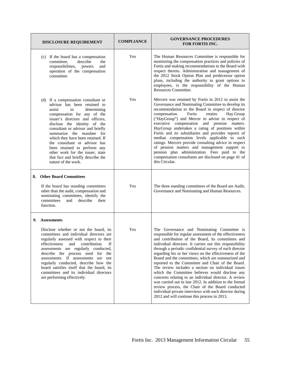| <b>DISCLOSURE REQUIREMENT</b>                                                                                                                                                                                                                                                                                                                                                                                                                                                                       | <b>COMPLIANCE</b> | <b>GOVERNANCE PROCEDURES</b><br><b>FOR FORTIS INC.</b>                                                                                                                                                                                                                                                                                                                                                                                                                                                                                                                                                                                                                                                                |
|-----------------------------------------------------------------------------------------------------------------------------------------------------------------------------------------------------------------------------------------------------------------------------------------------------------------------------------------------------------------------------------------------------------------------------------------------------------------------------------------------------|-------------------|-----------------------------------------------------------------------------------------------------------------------------------------------------------------------------------------------------------------------------------------------------------------------------------------------------------------------------------------------------------------------------------------------------------------------------------------------------------------------------------------------------------------------------------------------------------------------------------------------------------------------------------------------------------------------------------------------------------------------|
| (c) If the board has a compensation<br>describe<br>committee,<br>the<br>responsibilities,<br>and<br>powers<br>operation of the compensation<br>committee.                                                                                                                                                                                                                                                                                                                                           | Yes               | The Human Resources Committee is responsible for<br>monitoring the compensation practices and policies of<br>Fortis and making recommendations to the Board with<br>respect thereto. Administration and management of<br>the 2012 Stock Option Plan and predecessor option<br>plans, including the authority to grant options to<br>employees, is the responsibility of the Human<br>Resources Committee.                                                                                                                                                                                                                                                                                                             |
| (d) If a compensation consultant or<br>advisor has been retained to<br>determining<br>assist<br>in<br>compensation for any of the<br>issuer's directors and officers,<br>disclose the identity of the<br>consultant or advisor and briefly<br>summarize the mandate for<br>which they have been retained. If<br>the consultant or advisor has<br>been retained to perform any<br>other work for the issuer, state<br>that fact and briefly describe the<br>nature of the work.                      | Yes               | Mercers was retained by Fortis in 2012 to assist the<br>Governance and Nominating Committee to develop its<br>recommendation to the Board in respect of director<br>compensation.<br>Fortis<br>retains<br>Hay Group<br>("HayGroup") and Mercer to advise in respect of<br>executive compensation and pension matters.<br>HayGroup undertakes a rating of positions within<br>Fortis and its subsidiaries and provides reports of<br>median compensation levels applicable to such<br>ratings. Mercers provide consulting advice in respect<br>of pension matters and management support to<br>pension plan administration. Fees paid to the<br>compensation consultants are disclosed on page 41 of<br>this Circular. |
| <b>Other Board Committees</b><br>8.<br>If the board has standing committees<br>other than the audit, compensation and<br>nominating committees, identify the<br>committees<br>describe<br>their<br>and<br>function.                                                                                                                                                                                                                                                                                 | Yes               | The three standing committees of the Board are Audit,<br>Governance and Nominating and Human Resources.                                                                                                                                                                                                                                                                                                                                                                                                                                                                                                                                                                                                               |
| 9.<br><b>Assessments</b><br>Disclose whether or not the board, its<br>committees and individual directors are<br>regularly assessed with respect to their<br>effectiveness<br>contribution.<br>If<br>and<br>assessments are regularly conducted,<br>describe the process used for<br>the<br>assessments. If assessments are<br>not<br>regularly conducted, describe how the<br>board satisfies itself that the board, its<br>committees and its individual directors<br>are performing effectively. | Yes               | The Governance and Nominating Committee is<br>responsible for regular assessment of the effectiveness<br>and contribution of the Board, its committees and<br>individual directors. It carries out this responsibility<br>through a periodic confidential survey of each director<br>regarding his or her views on the effectiveness of the<br>Board and the committees, which are summarized and<br>reported to the Committee and Chair of the Board.<br>The review includes a section on individual issues<br>which the Committee believes would disclose any<br>concerns relating to an individual director. A review                                                                                              |
|                                                                                                                                                                                                                                                                                                                                                                                                                                                                                                     |                   | was carried out in late 2012. In addition to the formal<br>review process, the Chair of the Board conducted<br>individual private interviews with each director during<br>2012 and will continue this process in 2013.                                                                                                                                                                                                                                                                                                                                                                                                                                                                                                |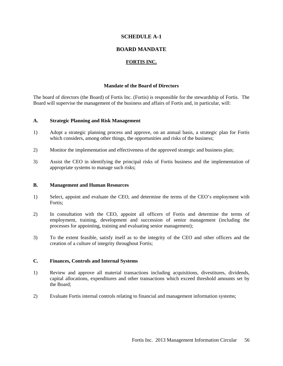#### **SCHEDULE A-1**

#### **BOARD MANDATE**

#### **FORTIS INC.**

#### **Mandate of the Board of Directors**

The board of directors (the Board) of Fortis Inc. (Fortis) is responsible for the stewardship of Fortis. The Board will supervise the management of the business and affairs of Fortis and, in particular, will:

#### **A. Strategic Planning and Risk Management**

- 1) Adopt a strategic planning process and approve, on an annual basis, a strategic plan for Fortis which considers, among other things, the opportunities and risks of the business;
- 2) Monitor the implementation and effectiveness of the approved strategic and business plan;
- 3) Assist the CEO in identifying the principal risks of Fortis business and the implementation of appropriate systems to manage such risks;

#### **B. Management and Human Resources**

- 1) Select, appoint and evaluate the CEO, and determine the terms of the CEO's employment with Fortis:
- 2) In consultation with the CEO, appoint all officers of Fortis and determine the terms of employment, training, development and succession of senior management (including the processes for appointing, training and evaluating senior management);
- 3) To the extent feasible, satisfy itself as to the integrity of the CEO and other officers and the creation of a culture of integrity throughout Fortis;

#### **C. Finances, Controls and Internal Systems**

- 1) Review and approve all material transactions including acquisitions, divestitures, dividends, capital allocations, expenditures and other transactions which exceed threshold amounts set by the Board;
- 2) Evaluate Fortis internal controls relating to financial and management information systems;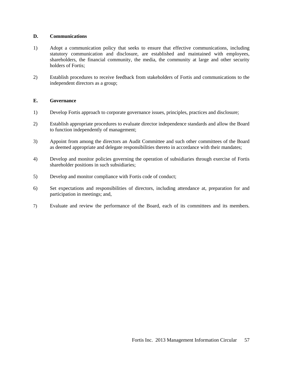#### **D. Communications**

- 1) Adopt a communication policy that seeks to ensure that effective communications, including statutory communication and disclosure, are established and maintained with employees, shareholders, the financial community, the media, the community at large and other security holders of Fortis;
- 2) Establish procedures to receive feedback from stakeholders of Fortis and communications to the independent directors as a group;

#### **E. Governance**

- 1) Develop Fortis approach to corporate governance issues, principles, practices and disclosure;
- 2) Establish appropriate procedures to evaluate director independence standards and allow the Board to function independently of management;
- 3) Appoint from among the directors an Audit Committee and such other committees of the Board as deemed appropriate and delegate responsibilities thereto in accordance with their mandates;
- 4) Develop and monitor policies governing the operation of subsidiaries through exercise of Fortis shareholder positions in such subsidiaries;
- 5) Develop and monitor compliance with Fortis code of conduct;
- 6) Set expectations and responsibilities of directors, including attendance at, preparation for and participation in meetings; and,
- 7) Evaluate and review the performance of the Board, each of its committees and its members.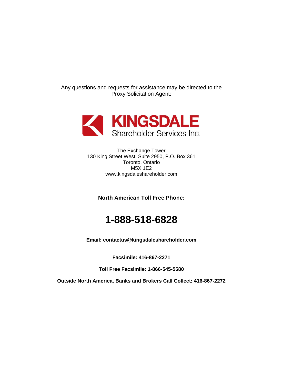Any questions and requests for assistance may be directed to the Proxy Solicitation Agent:



The Exchange Tower 130 King Street West, Suite 2950, P.O. Box 361 Toronto, Ontario M5X 1E2 www.kingsdaleshareholder.com

**North American Toll Free Phone:** 

### **1-888-518-6828**

**Email: contactus@kingsdaleshareholder.com** 

**Facsimile: 416-867-2271** 

**Toll Free Facsimile: 1-866-545-5580** 

**Outside North America, Banks and Brokers Call Collect: 416-867-2272**